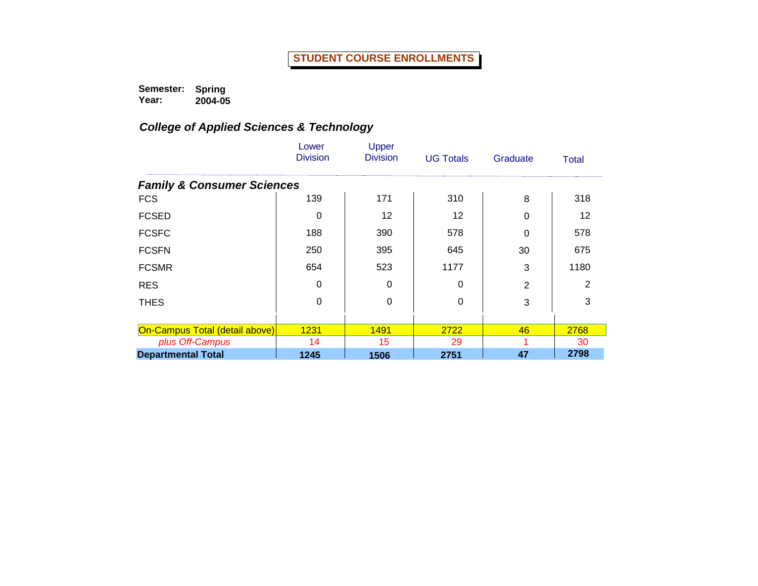**Semester: Spring** 

**Year: 2004-05**

|                                       | Lower<br><b>Division</b> | Upper<br><b>Division</b> | <b>UG Totals</b> | Graduate       | <b>Total</b>    |
|---------------------------------------|--------------------------|--------------------------|------------------|----------------|-----------------|
| <b>Family &amp; Consumer Sciences</b> |                          |                          |                  |                |                 |
| <b>FCS</b>                            | 139                      | 171                      | 310              | 8              | 318             |
| <b>FCSED</b>                          | 0                        | 12                       | 12               | 0              | 12 <sup>2</sup> |
| <b>FCSFC</b>                          | 188                      | 390                      | 578              | 0              | 578             |
| <b>FCSFN</b>                          | 250                      | 395                      | 645              | 30             | 675             |
| <b>FCSMR</b>                          | 654                      | 523                      | 1177             | 3              | 1180            |
| <b>RES</b>                            | 0                        | 0                        | $\Omega$         | $\overline{2}$ | 2               |
| <b>THES</b>                           | 0                        | 0                        | 0                | 3              | 3               |
| On-Campus Total (detail above)        | 1231                     | 1491                     | 2722             | 46             | 2768            |
| plus Off-Campus                       | 14                       | 15                       | 29               |                | 30              |
| <b>Departmental Total</b>             | 1245                     | 1506                     | 2751             | 47             | 2798            |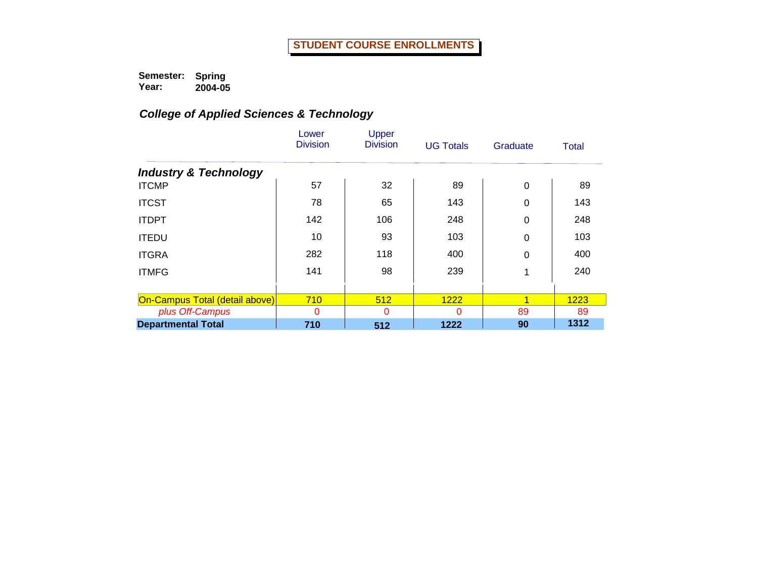|                                  | Lower<br><b>Division</b> | Upper<br><b>Division</b> | <b>UG Totals</b> | Graduate | <b>Total</b> |
|----------------------------------|--------------------------|--------------------------|------------------|----------|--------------|
| <b>Industry &amp; Technology</b> |                          |                          |                  |          |              |
| <b>ITCMP</b>                     | 57                       | 32                       | 89               | 0        | 89           |
| <b>ITCST</b>                     | 78                       | 65                       | 143              | 0        | 143          |
| <b>ITDPT</b>                     | 142                      | 106                      | 248              | 0        | 248          |
| <b>ITEDU</b>                     | 10                       | 93                       | 103              | 0        | 103          |
| <b>ITGRA</b>                     | 282                      | 118                      | 400              | 0        | 400          |
| <b>ITMFG</b>                     | 141                      | 98                       | 239              | 1        | 240          |
|                                  |                          |                          |                  |          |              |
| On-Campus Total (detail above)   | 710                      | 512                      | 1222             | 1        | 1223         |
| plus Off-Campus                  | $\Omega$                 | $\Omega$                 | O                | 89       | 89           |
| <b>Departmental Total</b>        | 710                      | 512                      | 1222             | 90       | 1312         |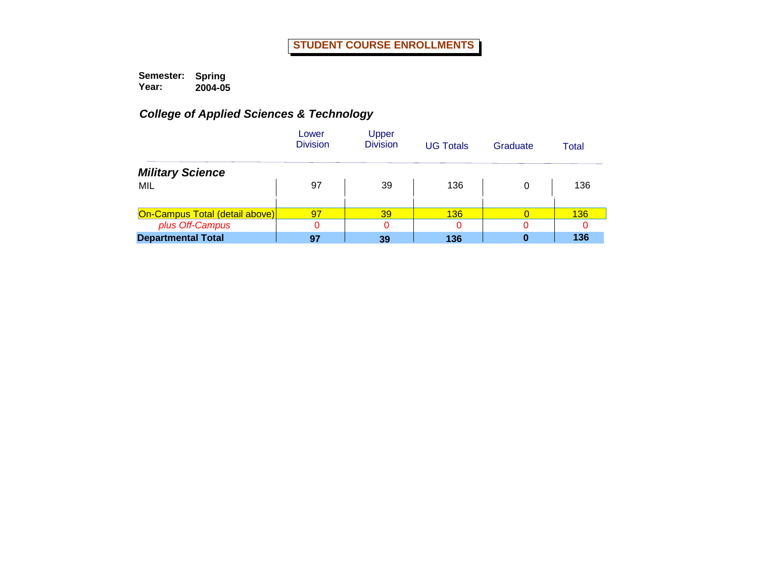|                                       | Lower<br><b>Division</b> | Upper<br><b>Division</b> | <b>UG Totals</b> | Graduate | Total      |
|---------------------------------------|--------------------------|--------------------------|------------------|----------|------------|
| <b>Military Science</b>               |                          |                          |                  |          |            |
| MIL                                   | 97                       | 39                       | 136              | 0        | 136        |
|                                       |                          |                          |                  |          |            |
| <b>On-Campus Total (detail above)</b> | 97                       | 39                       | 136              | 0        | <b>136</b> |
| plus Off-Campus                       | 0                        |                          |                  |          |            |
| <b>Departmental Total</b>             | 97                       | 39                       | 136              |          | 136        |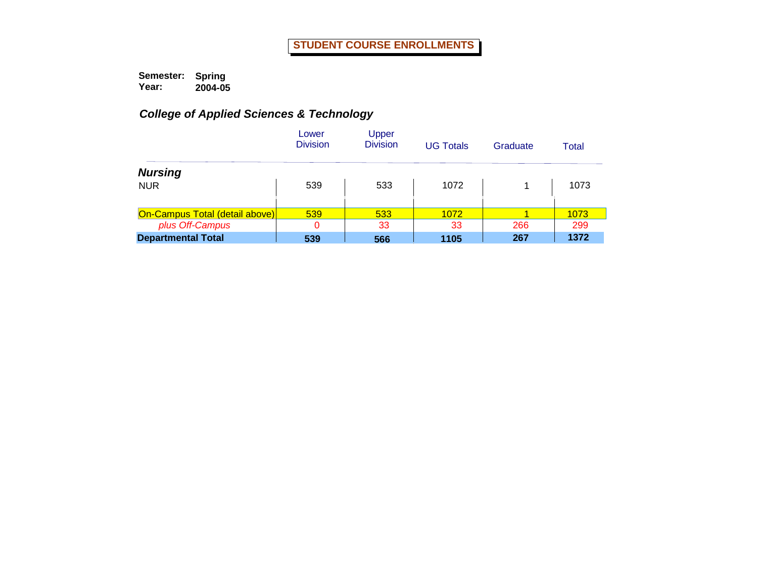|                                       | Lower<br><b>Division</b> | Upper<br><b>Division</b> | <b>UG Totals</b> | Graduate | Total |
|---------------------------------------|--------------------------|--------------------------|------------------|----------|-------|
| <b>Nursing</b>                        |                          |                          |                  |          |       |
| <b>NUR</b>                            | 539                      | 533                      | 1072             |          | 1073  |
|                                       |                          |                          |                  |          |       |
| <b>On-Campus Total (detail above)</b> | 539                      | 533                      | 1072             |          | 1073  |
| plus Off-Campus                       |                          | 33                       | 33               | 266      | 299   |
| <b>Departmental Total</b>             | 539                      | 566                      | 1105             | 267      | 1372  |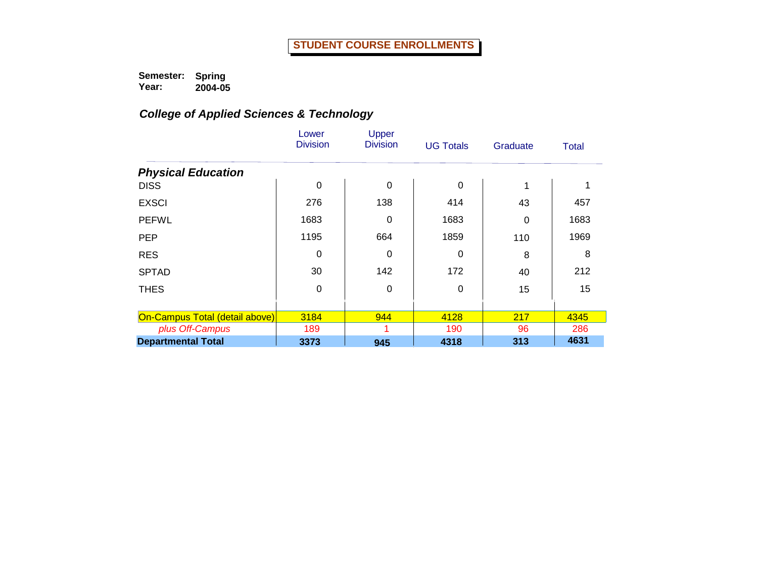|                                | Lower<br><b>Division</b> | Upper<br><b>Division</b> | <b>UG Totals</b> | Graduate | Total |
|--------------------------------|--------------------------|--------------------------|------------------|----------|-------|
| <b>Physical Education</b>      |                          |                          |                  |          |       |
| <b>DISS</b>                    | 0                        | $\mathbf 0$              | 0                | 1        |       |
| <b>EXSCI</b>                   | 276                      | 138                      | 414              | 43       | 457   |
| <b>PEFWL</b>                   | 1683                     | $\mathbf 0$              | 1683             | 0        | 1683  |
| <b>PEP</b>                     | 1195                     | 664                      | 1859             | 110      | 1969  |
| <b>RES</b>                     | 0                        | 0                        | 0                | 8        | 8     |
| <b>SPTAD</b>                   | 30                       | 142                      | 172              | 40       | 212   |
| <b>THES</b>                    | 0                        | 0                        | $\Omega$         | 15       | 15    |
|                                |                          |                          |                  |          |       |
| On-Campus Total (detail above) | 3184                     | 944                      | 4128             | 217      | 4345  |
| plus Off-Campus                | 189                      |                          | 190              | 96       | 286   |
| <b>Departmental Total</b>      | 3373                     | 945                      | 4318             | 313      | 4631  |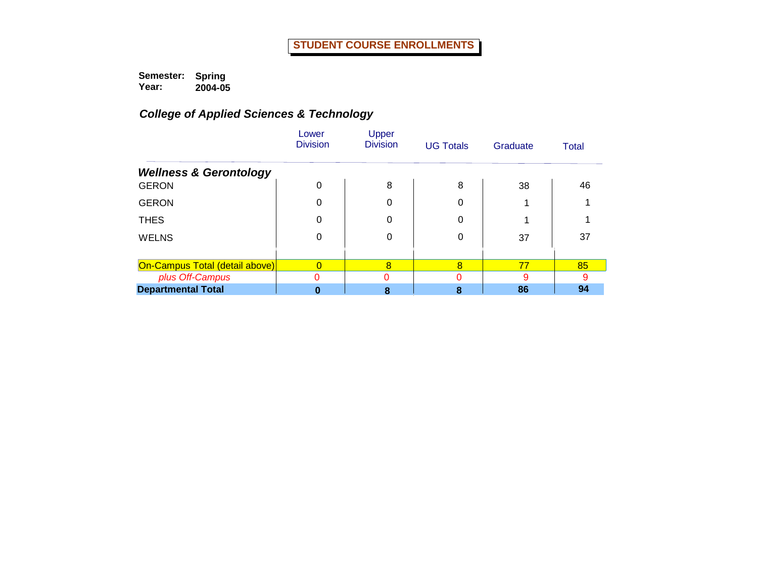|                                   | Lower<br><b>Division</b> | Upper<br><b>Division</b> | <b>UG Totals</b> | Graduate | <b>Total</b> |
|-----------------------------------|--------------------------|--------------------------|------------------|----------|--------------|
| <b>Wellness &amp; Gerontology</b> |                          |                          |                  |          |              |
| <b>GERON</b>                      | $\Omega$                 | 8                        | 8                | 38       | 46           |
| <b>GERON</b>                      | 0                        |                          | 0                |          |              |
| <b>THES</b>                       | 0                        |                          | 0                |          |              |
| <b>WELNS</b>                      | 0                        | 0                        | 0                | 37       | 37           |
|                                   |                          |                          |                  |          |              |
| On-Campus Total (detail above)    |                          | 8                        | 8                | 77       | 85           |
| plus Off-Campus                   | 0                        |                          |                  | 9        | a            |
| <b>Departmental Total</b>         |                          | Զ                        |                  | 86       | 94           |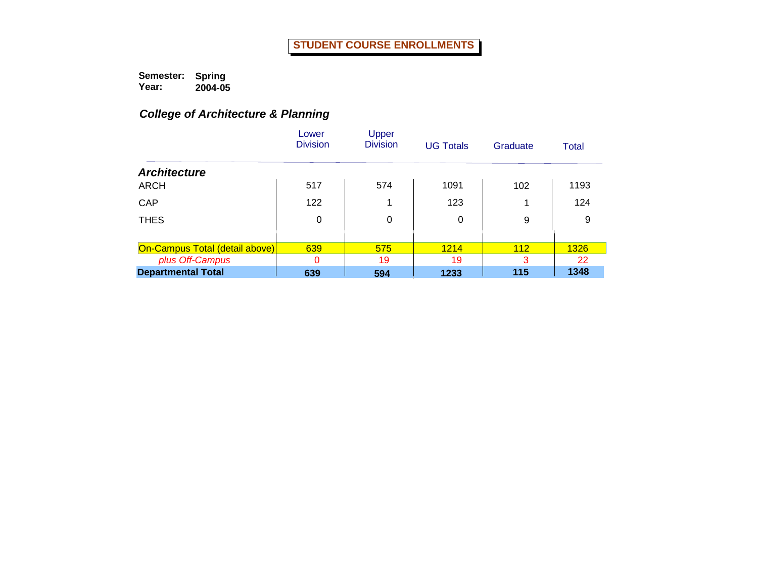# *College of Architecture & Planning*

|                                       | Lower<br><b>Division</b> | Upper<br><b>Division</b> | <b>UG Totals</b> | Graduate | Total |
|---------------------------------------|--------------------------|--------------------------|------------------|----------|-------|
| <b>Architecture</b>                   |                          |                          |                  |          |       |
| <b>ARCH</b>                           | 517                      | 574                      | 1091             | 102      | 1193  |
| CAP                                   | 122                      |                          | 123              |          | 124   |
| <b>THES</b>                           | 0                        | 0                        | 0                | 9        | 9     |
|                                       |                          |                          |                  |          |       |
| <b>On-Campus Total (detail above)</b> | 639                      | 575                      | 1214             | 112      | 1326  |
| plus Off-Campus                       | 0                        | 19                       | 19               | 3        | 22    |
| <b>Departmental Total</b>             | 639                      | 594                      | 1233             | 115      | 1348  |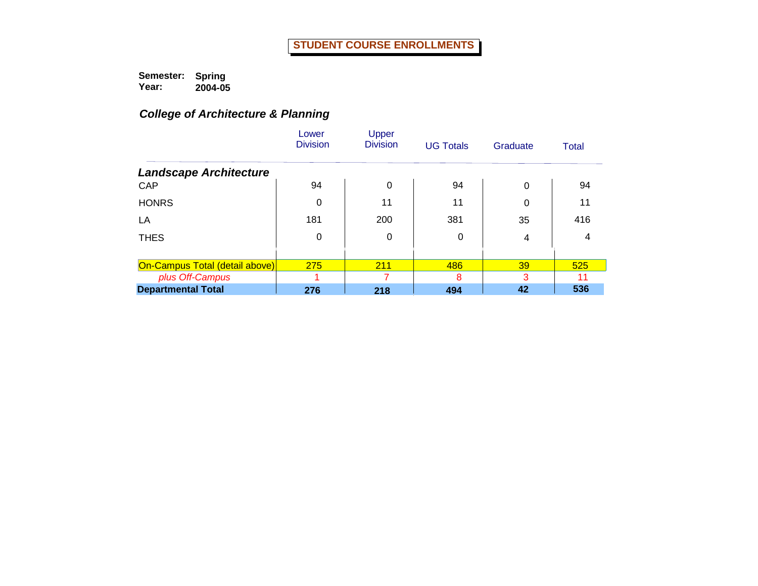# *College of Architecture & Planning*

|                                | Lower<br><b>Division</b> | Upper<br><b>Division</b> | <b>UG Totals</b> | Graduate | <b>Total</b> |
|--------------------------------|--------------------------|--------------------------|------------------|----------|--------------|
| <b>Landscape Architecture</b>  |                          |                          |                  |          |              |
| CAP                            | 94                       | $\Omega$                 | 94               | $\Omega$ | 94           |
| <b>HONRS</b>                   | 0                        | 11                       | 11               | 0        | 11           |
| LA                             | 181                      | 200                      | 381              | 35       | 416          |
| <b>THES</b>                    | 0                        | 0                        | 0                | 4        | 4            |
|                                |                          |                          |                  |          |              |
| On-Campus Total (detail above) | 275                      | 211                      | 486              | 39       | 525          |
| plus Off-Campus                |                          |                          | 8                | 3        |              |
| <b>Departmental Total</b>      | 276                      | 218                      | 494              | 42       | 536          |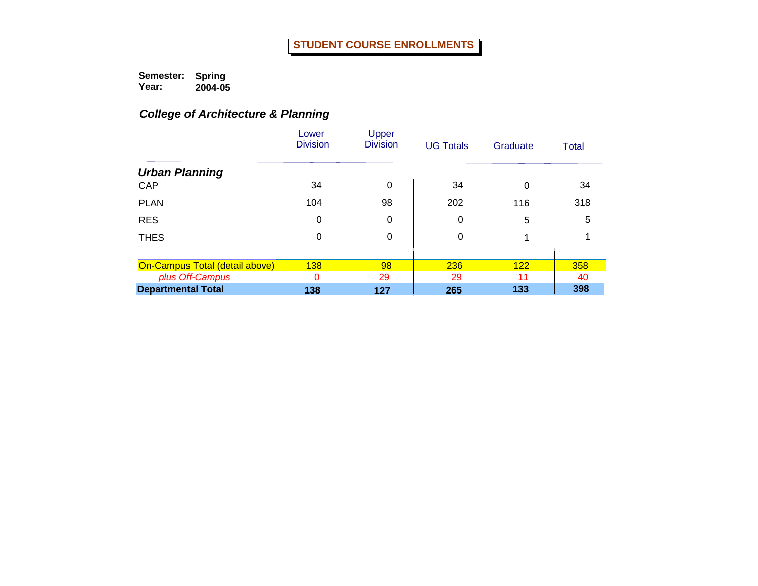# *College of Architecture & Planning*

|                                | Lower<br><b>Division</b> | Upper<br><b>Division</b> | <b>UG Totals</b> | Graduate | Total |
|--------------------------------|--------------------------|--------------------------|------------------|----------|-------|
| <b>Urban Planning</b>          |                          |                          |                  |          |       |
| CAP                            | 34                       | 0                        | 34               | $\Omega$ | 34    |
| <b>PLAN</b>                    | 104                      | 98                       | 202              | 116      | 318   |
| <b>RES</b>                     | 0                        | 0                        | 0                | 5        | 5     |
| <b>THES</b>                    | 0                        | 0                        | 0                | 1        |       |
|                                |                          |                          |                  |          |       |
| On-Campus Total (detail above) | <b>138</b>               | 98                       | 236              | 122      | 358   |
| plus Off-Campus                | 0                        | 29                       | 29               | 11       | 40    |
| <b>Departmental Total</b>      | 138                      | 127                      | 265              | 133      | 398   |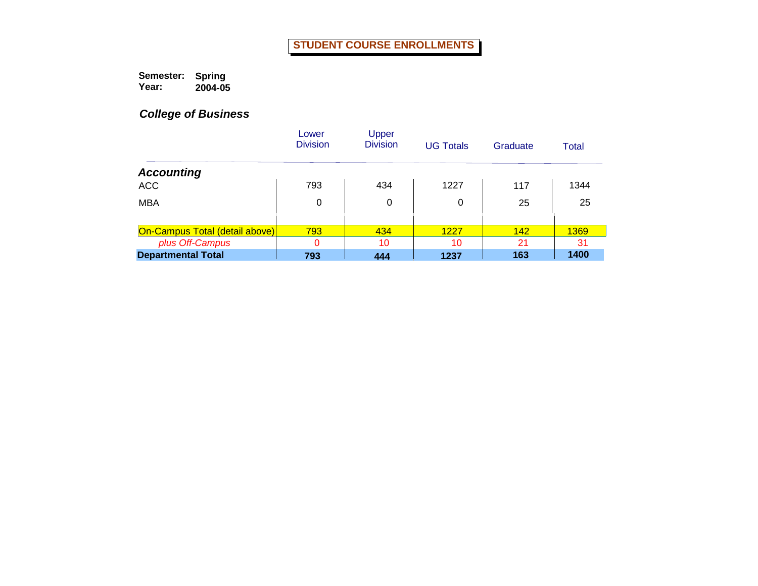**Semester: Year: Spring 2004-05**

|                                | Lower<br><b>Division</b> | Upper<br><b>Division</b> | <b>UG Totals</b> | Graduate | Total |
|--------------------------------|--------------------------|--------------------------|------------------|----------|-------|
| <b>Accounting</b>              |                          |                          |                  |          |       |
| <b>ACC</b>                     | 793                      | 434                      | 1227             | 117      | 1344  |
| <b>MBA</b>                     | 0                        | 0                        | 0                | 25       | 25    |
| On-Campus Total (detail above) | 793                      | 434                      | 1227             | 142      | 1369  |
| plus Off-Campus                | 0                        | 10                       | 10               | 21       | 31    |
| <b>Departmental Total</b>      | 793                      | 444                      | 1237             | 163      | 1400  |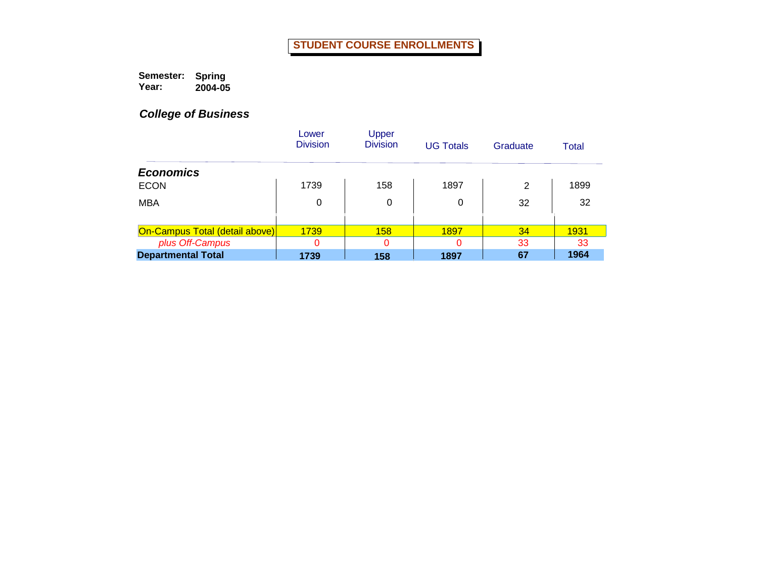**Semester: Year: Spring 2004-05**

|                                | Lower<br><b>Division</b> | Upper<br><b>Division</b> | <b>UG Totals</b> | Graduate | Total |
|--------------------------------|--------------------------|--------------------------|------------------|----------|-------|
| <b>Economics</b>               |                          |                          |                  |          |       |
| <b>ECON</b>                    | 1739                     | 158                      | 1897             | 2        | 1899  |
| <b>MBA</b>                     | 0                        | 0                        | 0                | 32       | 32    |
|                                |                          |                          |                  |          |       |
| On-Campus Total (detail above) | 1739                     | <b>158</b>               | 1897             | 34       | 1931  |
| plus Off-Campus                | 0                        | 0                        | 0                | 33       | 33    |
| <b>Departmental Total</b>      | 1739                     | 158                      | 1897             | 67       | 1964  |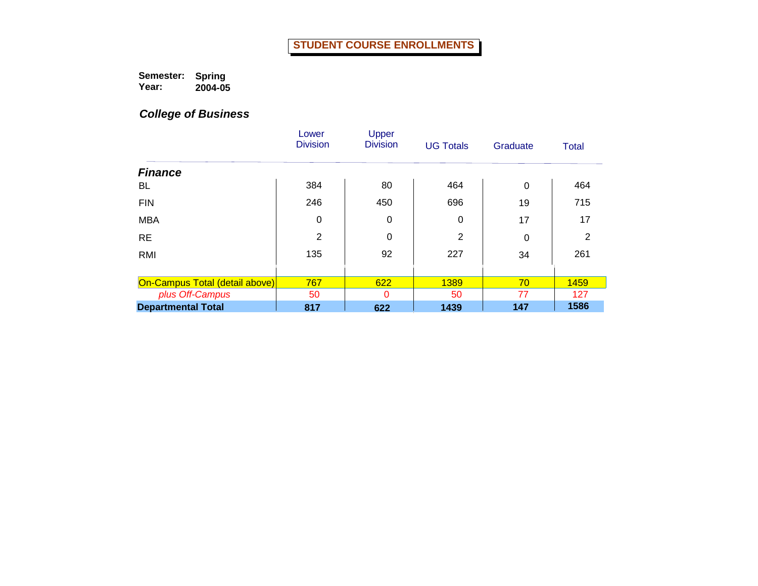**Semester: Year: Spring 2004-05**

|                                | Lower<br><b>Division</b> | Upper<br><b>Division</b> | <b>UG Totals</b> | Graduate | <b>Total</b> |
|--------------------------------|--------------------------|--------------------------|------------------|----------|--------------|
| <b>Finance</b>                 |                          |                          |                  |          |              |
| BL                             | 384                      | 80                       | 464              | $\Omega$ | 464          |
| <b>FIN</b>                     | 246                      | 450                      | 696              | 19       | 715          |
| <b>MBA</b>                     | 0                        | 0                        | 0                | 17       | 17           |
| <b>RE</b>                      | $\overline{2}$           | 0                        | 2                | 0        | 2            |
| RMI                            | 135                      | 92                       | 227              | 34       | 261          |
|                                |                          |                          |                  |          |              |
| On-Campus Total (detail above) | 767                      | 622                      | 1389             | 70       | 1459         |
| plus Off-Campus                | 50                       | 0                        | 50               | 77       | 127          |
| <b>Departmental Total</b>      | 817                      | 622                      | 1439             | 147      | 1586         |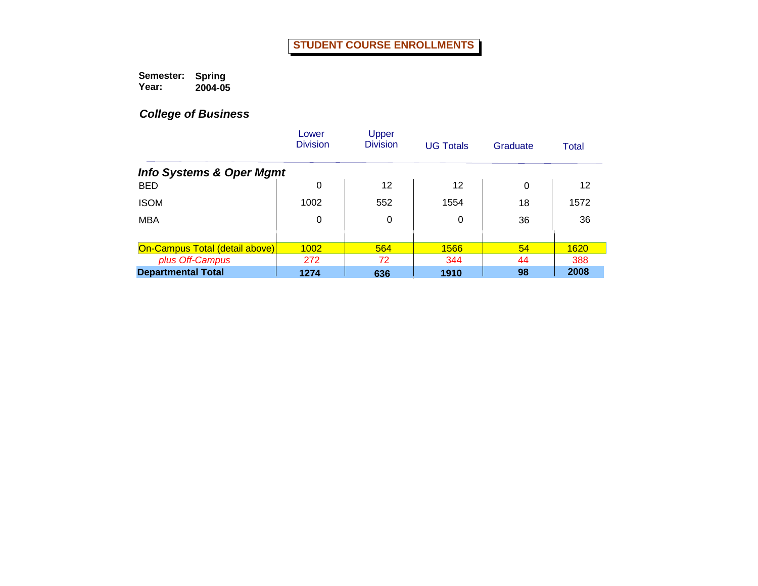**Semester: Year: Spring 2004-05**

|                                       | Lower<br><b>Division</b> | Upper<br><b>Division</b> | <b>UG Totals</b> | Graduate | <b>Total</b> |
|---------------------------------------|--------------------------|--------------------------|------------------|----------|--------------|
| <b>Info Systems &amp; Oper Mgmt</b>   |                          |                          |                  |          |              |
| <b>BED</b>                            | 0                        | 12                       | 12               | $\Omega$ | 12           |
| <b>ISOM</b>                           | 1002                     | 552                      | 1554             | 18       | 1572         |
| <b>MBA</b>                            | 0                        | 0                        | 0                | 36       | 36           |
|                                       |                          |                          |                  |          |              |
| <b>On-Campus Total (detail above)</b> | 1002                     | 564                      | 1566             | 54       | 1620         |
| plus Off-Campus                       | 272                      | 72                       | 344              | 44       | 388          |
| <b>Departmental Total</b>             | 1274                     | 636                      | 1910             | 98       | 2008         |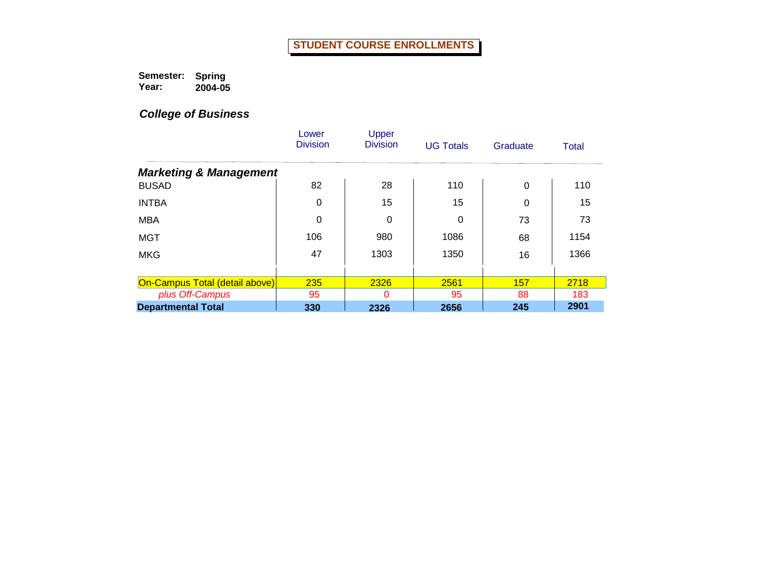**Semester: Year: Spring 2004-05**

|                                       | Lower<br><b>Division</b> | Upper<br><b>Division</b> | <b>UG Totals</b> | Graduate | <b>Total</b> |
|---------------------------------------|--------------------------|--------------------------|------------------|----------|--------------|
| <b>Marketing &amp; Management</b>     |                          |                          |                  |          |              |
| <b>BUSAD</b>                          | 82                       | 28                       | 110              | $\Omega$ | 110          |
| <b>INTBA</b>                          | 0                        | 15                       | 15               | 0        | 15           |
| <b>MBA</b>                            | 0                        | 0                        | 0                | 73       | 73           |
| <b>MGT</b>                            | 106                      | 980                      | 1086             | 68       | 1154         |
| <b>MKG</b>                            | 47                       | 1303                     | 1350             | 16       | 1366         |
|                                       |                          |                          |                  |          |              |
| <b>On-Campus Total (detail above)</b> | 235                      | 2326                     | 2561             | 157      | 2718         |
| plus Off-Campus                       | 95                       | 0                        | 95               | 88       | 183          |
| <b>Departmental Total</b>             | 330                      | 2326                     | 2656             | 245      | 2901         |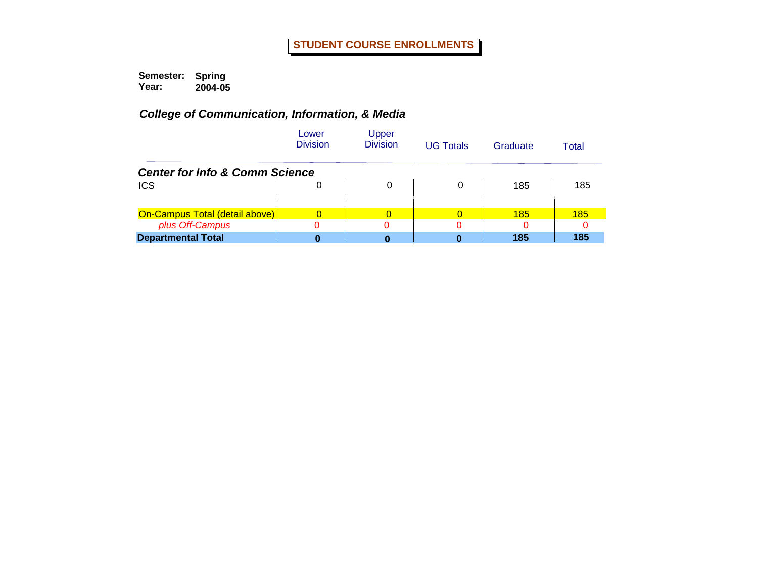|                                           | Lower<br><b>Division</b> | Upper<br><b>Division</b> | <b>UG Totals</b> | Graduate | Total |
|-------------------------------------------|--------------------------|--------------------------|------------------|----------|-------|
| <b>Center for Info &amp; Comm Science</b> |                          |                          |                  |          |       |
| <b>ICS</b>                                | 0                        | 0                        | 0                | 185      | 185   |
| On-Campus Total (detail above)            |                          |                          |                  | 185      | 185   |
| plus Off-Campus                           |                          |                          |                  |          |       |
| <b>Departmental Total</b>                 |                          |                          |                  | 185      | 185   |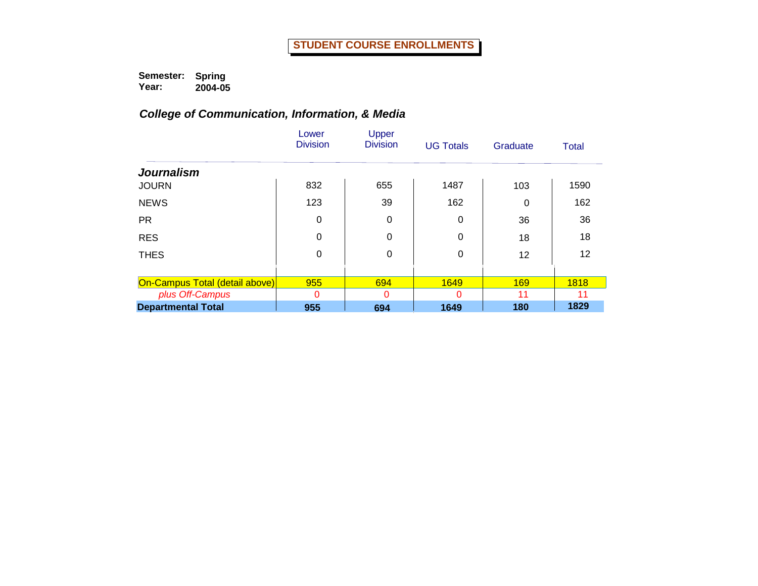|                                | Lower<br><b>Division</b> | Upper<br><b>Division</b> | <b>UG Totals</b> | Graduate   | Total |
|--------------------------------|--------------------------|--------------------------|------------------|------------|-------|
| <b>Journalism</b>              |                          |                          |                  |            |       |
| <b>JOURN</b>                   | 832                      | 655                      | 1487             | 103        | 1590  |
| <b>NEWS</b>                    | 123                      | 39                       | 162              | 0          | 162   |
| <b>PR</b>                      | 0                        | 0                        | 0                | 36         | 36    |
| <b>RES</b>                     | 0                        | 0                        | 0                | 18         | 18    |
| <b>THES</b>                    | 0                        | $\mathbf 0$              | 0                | 12         | 12    |
|                                |                          |                          |                  |            |       |
| On-Campus Total (detail above) | 955                      | 694                      | 1649             | <b>169</b> | 1818  |
| plus Off-Campus                | 0                        | 0                        | 0                | 11         | 11    |
| <b>Departmental Total</b>      | 955                      | 694                      | 1649             | 180        | 1829  |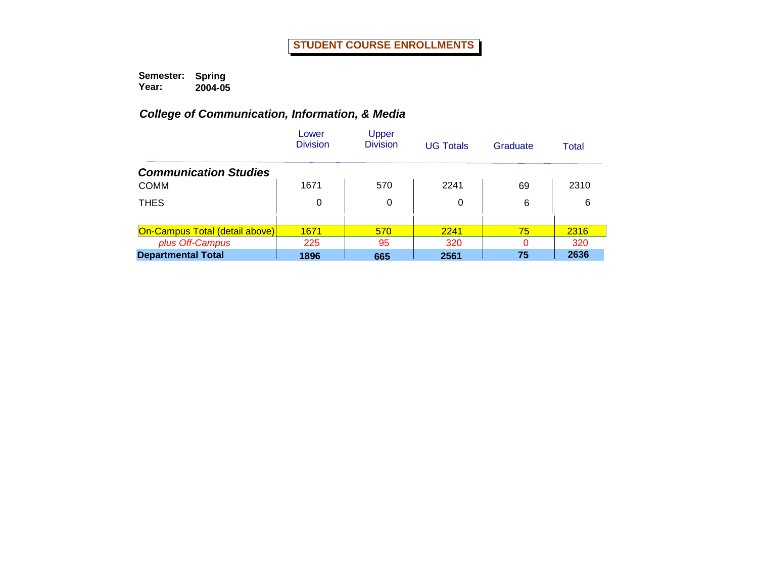|                                       | Lower<br><b>Division</b> | Upper<br><b>Division</b> | <b>UG Totals</b> | Graduate | Total |
|---------------------------------------|--------------------------|--------------------------|------------------|----------|-------|
| <b>Communication Studies</b>          |                          |                          |                  |          |       |
| <b>COMM</b>                           | 1671                     | 570                      | 2241             | 69       | 2310  |
| <b>THES</b>                           | 0                        | 0                        | 0                | 6        | 6     |
|                                       |                          |                          |                  |          |       |
| <b>On-Campus Total (detail above)</b> | 1671                     | 570                      | 2241             | 75       | 2316  |
| plus Off-Campus                       | 225                      | 95                       | 320              | 0        | 320   |
| <b>Departmental Total</b>             | 1896                     | 665                      | 2561             | 75       | 2636  |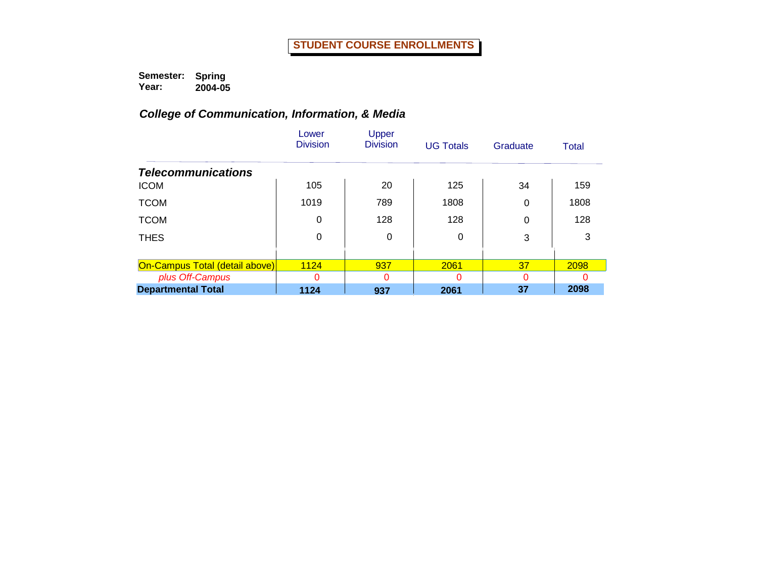|                                | Lower<br><b>Division</b> | Upper<br><b>Division</b> | <b>UG Totals</b> | Graduate | Total |
|--------------------------------|--------------------------|--------------------------|------------------|----------|-------|
| <b>Telecommunications</b>      |                          |                          |                  |          |       |
| <b>ICOM</b>                    | 105                      | 20                       | 125              | 34       | 159   |
| <b>TCOM</b>                    | 1019                     | 789                      | 1808             | 0        | 1808  |
| <b>TCOM</b>                    | 0                        | 128                      | 128              | 0        | 128   |
| <b>THES</b>                    | 0                        | 0                        | 0                | 3        | 3     |
|                                |                          |                          |                  |          |       |
| On-Campus Total (detail above) | 1124                     | 937                      | 2061             | 37       | 2098  |
| plus Off-Campus                | $\Omega$                 | 0                        | O                | 0        | U     |
| <b>Departmental Total</b>      | 1124                     | 937                      | 2061             | 37       | 2098  |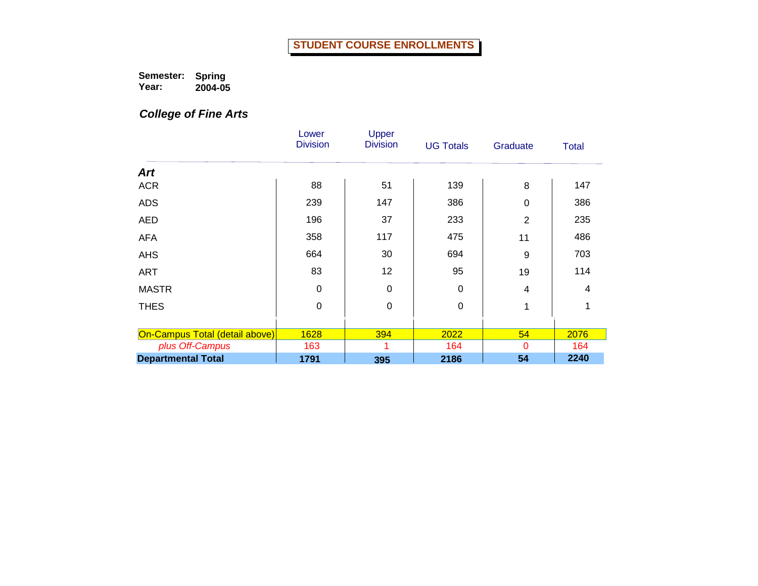**Semester: Year: Spring 2004-05**

*College of Fine Arts*

|                                | Lower<br><b>Division</b> | Upper<br><b>Division</b> | <b>UG Totals</b> | Graduate       | <b>Total</b> |
|--------------------------------|--------------------------|--------------------------|------------------|----------------|--------------|
| <b>Art</b>                     |                          |                          |                  |                |              |
| <b>ACR</b>                     | 88                       | 51                       | 139              | 8              | 147          |
| <b>ADS</b>                     | 239                      | 147                      | 386              | 0              | 386          |
| <b>AED</b>                     | 196                      | 37                       | 233              | $\overline{2}$ | 235          |
| <b>AFA</b>                     | 358                      | 117                      | 475              | 11             | 486          |
| <b>AHS</b>                     | 664                      | 30                       | 694              | 9              | 703          |
| <b>ART</b>                     | 83                       | 12                       | 95               | 19             | 114          |
| <b>MASTR</b>                   | $\Omega$                 | $\mathbf 0$              | $\Omega$         | 4              | 4            |
| <b>THES</b>                    | $\mathbf 0$              | $\mathbf 0$              | $\mathbf 0$      | 1              | 1            |
|                                |                          |                          |                  |                |              |
| On-Campus Total (detail above) | 1628                     | 394                      | 2022             | 54             | 2076         |
| plus Off-Campus                | 163                      | 1                        | 164              | $\Omega$       | 164          |
| <b>Departmental Total</b>      | 1791                     | 395                      | 2186             | 54             | 2240         |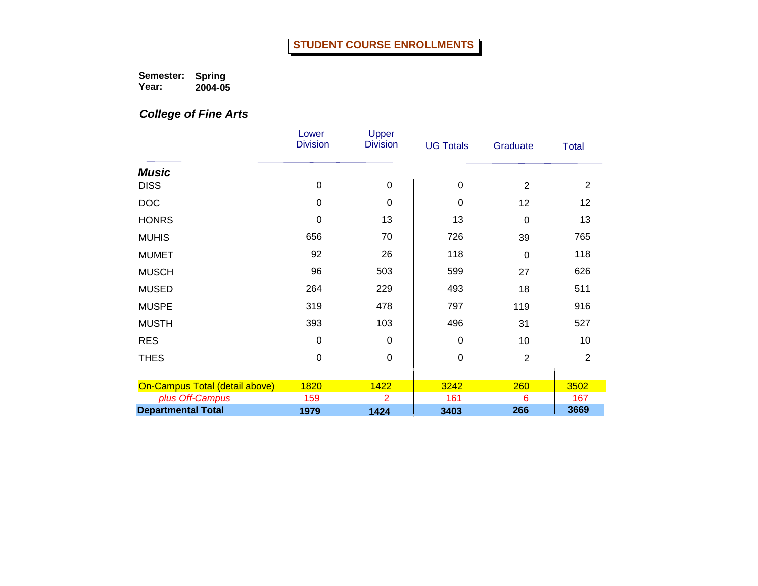**Semester: Year: Spring 2004-05**

*College of Fine Arts*

|                                | Lower<br><b>Division</b> | Upper<br><b>Division</b> | <b>UG Totals</b> | Graduate       | <b>Total</b>   |
|--------------------------------|--------------------------|--------------------------|------------------|----------------|----------------|
|                                |                          |                          |                  |                |                |
| <b>Music</b>                   |                          |                          |                  |                |                |
| <b>DISS</b>                    | $\mathbf 0$              | $\mathbf 0$              | $\mathbf 0$      | $\overline{2}$ | $\overline{2}$ |
| <b>DOC</b>                     | $\overline{0}$           | $\mathbf 0$              | $\Omega$         | 12             | 12             |
| <b>HONRS</b>                   | $\mathbf 0$              | 13                       | 13               | 0              | 13             |
| <b>MUHIS</b>                   | 656                      | 70                       | 726              | 39             | 765            |
| <b>MUMET</b>                   | 92                       | 26                       | 118              | $\overline{0}$ | 118            |
| <b>MUSCH</b>                   | 96                       | 503                      | 599              | 27             | 626            |
| <b>MUSED</b>                   | 264                      | 229                      | 493              | 18             | 511            |
| <b>MUSPE</b>                   | 319                      | 478                      | 797              | 119            | 916            |
| <b>MUSTH</b>                   | 393                      | 103                      | 496              | 31             | 527            |
| <b>RES</b>                     | $\mathbf 0$              | $\mathbf 0$              | $\Omega$         | 10             | 10             |
| <b>THES</b>                    | $\mathbf 0$              | $\mathbf 0$              | $\mathbf 0$      | $\overline{2}$ | $\overline{2}$ |
|                                |                          |                          |                  |                |                |
| On-Campus Total (detail above) | 1820                     | 1422                     | 3242             | 260            | 3502           |
| plus Off-Campus                | 159                      | 2                        | 161              | 6              | 167            |
| <b>Departmental Total</b>      | 1979                     | 1424                     | 3403             | 266            | 3669           |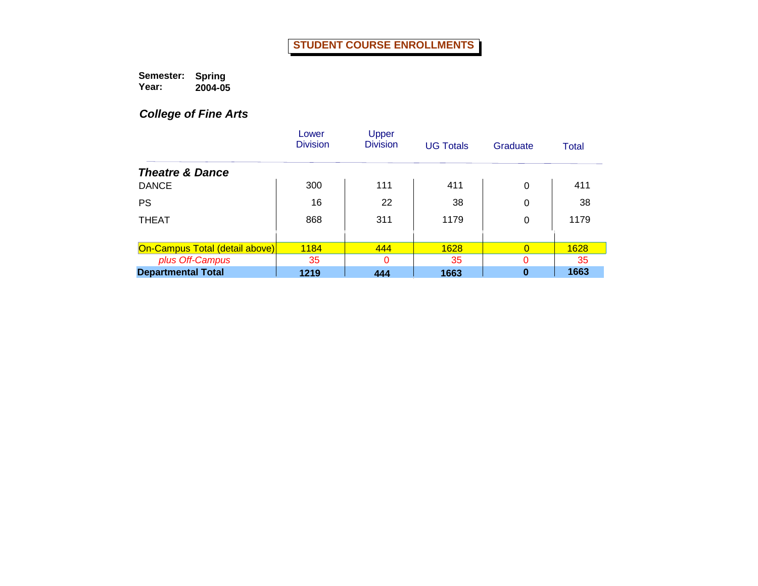**Semester: Year: Spring 2004-05**

# *College of Fine Arts*

|                                       | Lower<br><b>Division</b> | Upper<br><b>Division</b> | <b>UG Totals</b> | Graduate | Total |
|---------------------------------------|--------------------------|--------------------------|------------------|----------|-------|
| <b>Theatre &amp; Dance</b>            |                          |                          |                  |          |       |
| <b>DANCE</b>                          | 300                      | 111                      | 411              | $\Omega$ | 411   |
| <b>PS</b>                             | 16                       | 22                       | 38               | 0        | 38    |
| <b>THEAT</b>                          | 868                      | 311                      | 1179             | 0        | 1179  |
| <b>On-Campus Total (detail above)</b> | <b>1184</b>              | 444                      | 1628             | $\Omega$ | 1628  |
| plus Off-Campus                       | 35                       | $\Omega$                 | 35               | 0        | 35    |
| <b>Departmental Total</b>             | 1219                     | 444                      | 1663             | $\bf{0}$ | 1663  |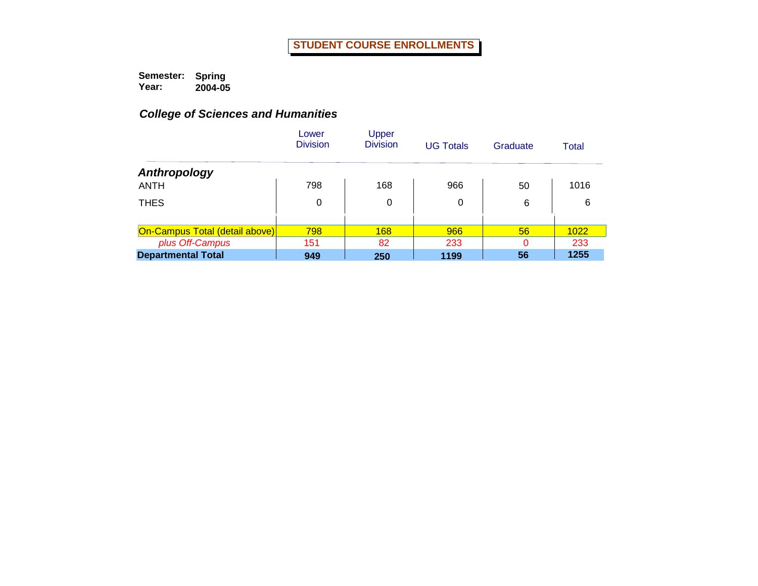|                                       | Lower<br><b>Division</b> | Upper<br><b>Division</b> | <b>UG Totals</b> | Graduate | Total |
|---------------------------------------|--------------------------|--------------------------|------------------|----------|-------|
| Anthropology                          |                          |                          |                  |          |       |
| <b>ANTH</b>                           | 798                      | 168                      | 966              | 50       | 1016  |
| <b>THES</b>                           | 0                        | 0                        | 0                | 6        | 6     |
|                                       |                          |                          |                  |          |       |
| <b>On-Campus Total (detail above)</b> | 798                      | 168                      | 966              | 56       | 1022  |
| plus Off-Campus                       | 151                      | 82                       | 233              | $\Omega$ | 233   |
| <b>Departmental Total</b>             | 949                      | 250                      | 1199             | 56       | 1255  |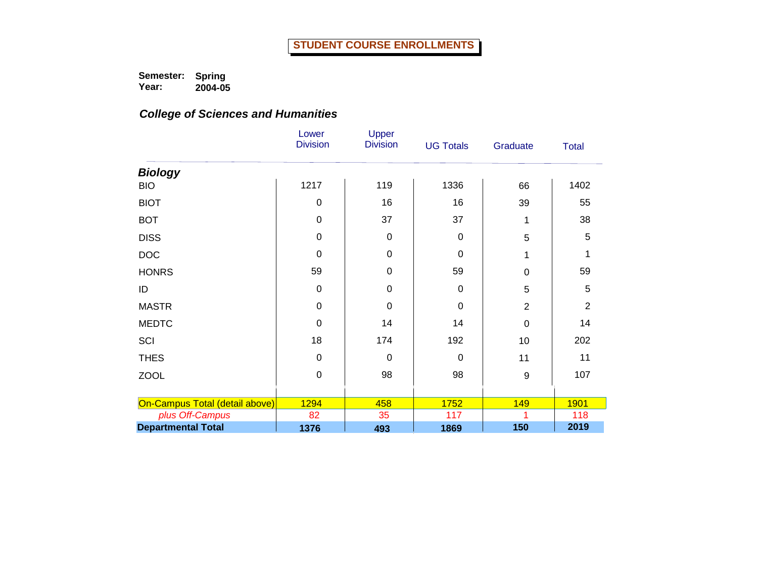|                                | Lower<br><b>Division</b> | Upper<br><b>Division</b> | <b>UG Totals</b> | Graduate         | <b>Total</b>   |
|--------------------------------|--------------------------|--------------------------|------------------|------------------|----------------|
| <b>Biology</b>                 |                          |                          |                  |                  |                |
| <b>BIO</b>                     | 1217                     | 119                      | 1336             | 66               | 1402           |
| <b>BIOT</b>                    | $\mathbf 0$              | 16                       | 16               | 39               | 55             |
| <b>BOT</b>                     | $\mathbf 0$              | 37                       | 37               | 1                | 38             |
| <b>DISS</b>                    | $\mathbf 0$              | $\mathbf 0$              | $\Omega$         | 5                | 5              |
| <b>DOC</b>                     | $\Omega$                 | $\mathbf 0$              | $\Omega$         | 1                |                |
| <b>HONRS</b>                   | 59                       | $\mathbf 0$              | 59               | $\boldsymbol{0}$ | 59             |
| ID                             | 0                        | $\mathbf 0$              | 0                | 5                | 5              |
| <b>MASTR</b>                   | $\mathbf 0$              | $\mathbf 0$              | $\mathbf 0$      | $\overline{2}$   | $\overline{2}$ |
| <b>MEDTC</b>                   | $\mathbf 0$              | 14                       | 14               | $\mathbf 0$      | 14             |
| SCI                            | 18                       | 174                      | 192              | 10               | 202            |
| <b>THES</b>                    | $\mathbf 0$              | $\mathbf 0$              | $\Omega$         | 11               | 11             |
| <b>ZOOL</b>                    | $\mathbf 0$              | 98                       | 98               | 9                | 107            |
|                                |                          |                          |                  |                  |                |
| On-Campus Total (detail above) | 1294                     | 458                      | 1752             | 149              | 1901           |
| plus Off-Campus                | 82                       | 35                       | 117              |                  | 118            |
| <b>Departmental Total</b>      | 1376                     | 493                      | 1869             | 150              | 2019           |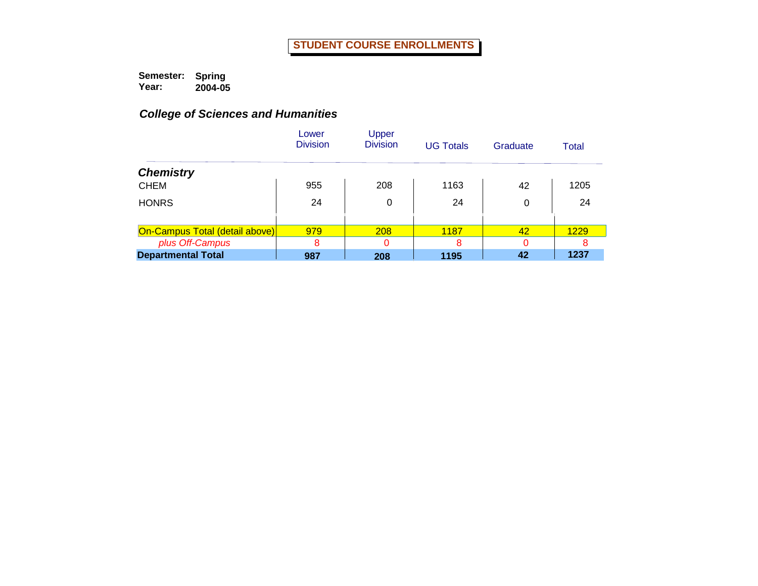|                                       | Lower<br><b>Division</b> | Upper<br><b>Division</b> | <b>UG Totals</b> | Graduate | Total |
|---------------------------------------|--------------------------|--------------------------|------------------|----------|-------|
| <b>Chemistry</b>                      |                          |                          |                  |          |       |
| <b>CHEM</b>                           | 955                      | 208                      | 1163             | 42       | 1205  |
| <b>HONRS</b>                          | 24                       | 0                        | 24               | 0        | 24    |
|                                       |                          |                          |                  |          |       |
| <b>On-Campus Total (detail above)</b> | 979                      | 208                      | 1187             | 42       | 1229  |
| plus Off-Campus                       | 8                        | 0                        | 8                | O        | 8     |
| <b>Departmental Total</b>             | 987                      | 208                      | 1195             | 42       | 1237  |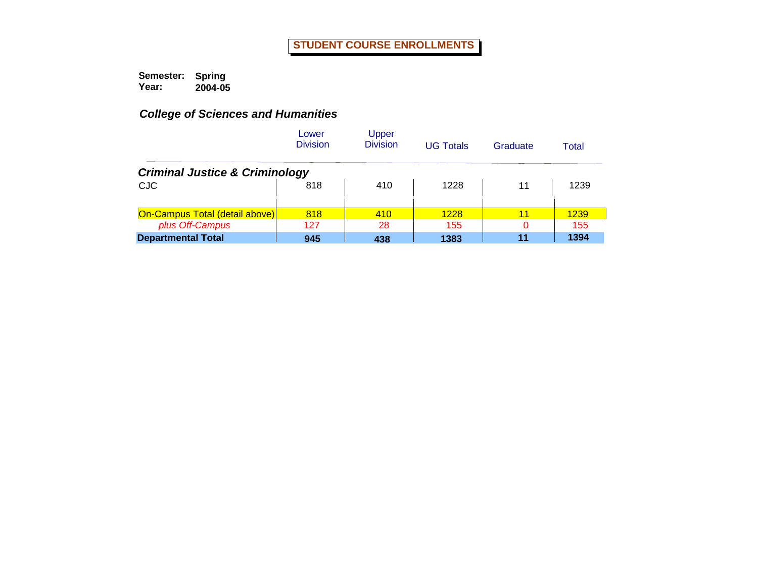|                                           | Lower<br><b>Division</b> | Upper<br><b>Division</b> | <b>UG Totals</b> | Graduate | Total |  |  |  |  |
|-------------------------------------------|--------------------------|--------------------------|------------------|----------|-------|--|--|--|--|
| <b>Criminal Justice &amp; Criminology</b> |                          |                          |                  |          |       |  |  |  |  |
| <b>CJC</b>                                | 818                      | 410                      | 1228             | 11       | 1239  |  |  |  |  |
| On-Campus Total (detail above)            | 818                      | 410                      | 1228             | 11       | 1239  |  |  |  |  |
| plus Off-Campus                           | 127                      | 28                       | 155              | 0        | 155   |  |  |  |  |
| <b>Departmental Total</b>                 | 945                      | 438                      | 1383             | 11       | 1394  |  |  |  |  |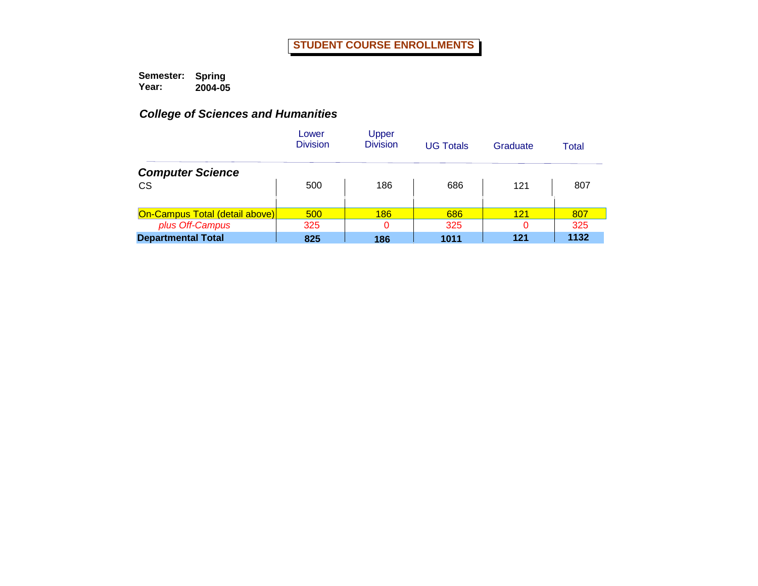|                                | Lower<br><b>Division</b> | Upper<br><b>Division</b> | <b>UG Totals</b> | Graduate | Total |
|--------------------------------|--------------------------|--------------------------|------------------|----------|-------|
| <b>Computer Science</b>        |                          |                          |                  |          |       |
| <b>CS</b>                      | 500                      | 186                      | 686              | 121      | 807   |
| On-Campus Total (detail above) | 500                      | 186                      | 686              | 121      | 807   |
| plus Off-Campus                | 325                      | $\Omega$                 | 325              | 0        | 325   |
| <b>Departmental Total</b>      | 825                      | 186                      | 1011             | 121      | 1132  |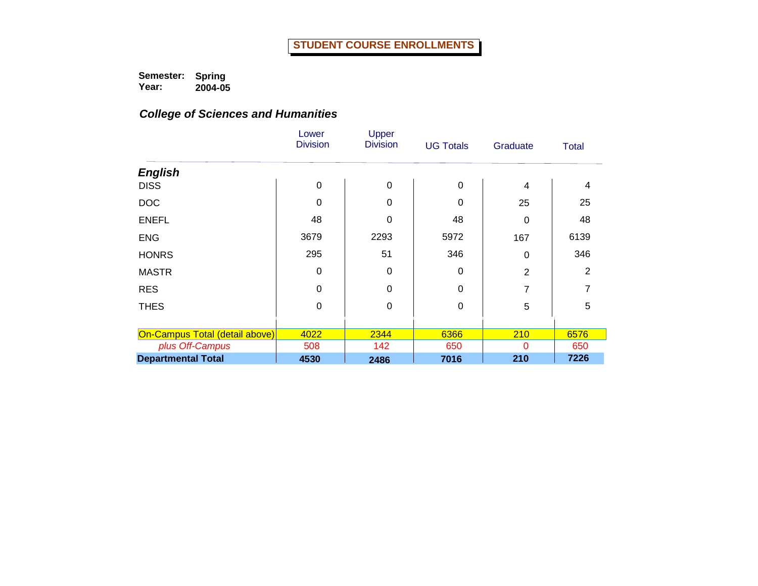|                                | Lower<br><b>Division</b> | Upper<br><b>Division</b> | <b>UG Totals</b> | Graduate       | <b>Total</b> |
|--------------------------------|--------------------------|--------------------------|------------------|----------------|--------------|
| <b>English</b>                 |                          |                          |                  |                |              |
| <b>DISS</b>                    | $\mathbf 0$              | $\mathbf 0$              | $\mathbf 0$      | 4              | 4            |
| <b>DOC</b>                     | 0                        | 0                        | 0                | 25             | 25           |
| <b>ENEFL</b>                   | 48                       | $\mathbf 0$              | 48               | 0              | 48           |
| <b>ENG</b>                     | 3679                     | 2293                     | 5972             | 167            | 6139         |
| <b>HONRS</b>                   | 295                      | 51                       | 346              | 0              | 346          |
| <b>MASTR</b>                   | 0                        | $\mathbf 0$              | 0                | $\overline{2}$ | 2            |
| <b>RES</b>                     | 0                        | $\Omega$                 | $\Omega$         | 7              |              |
| <b>THES</b>                    | $\mathbf 0$              | $\mathbf 0$              | 0                | 5              | 5            |
|                                |                          |                          |                  |                |              |
| On-Campus Total (detail above) | 4022                     | 2344                     | 6366             | 210            | 6576         |
| plus Off-Campus                | 508                      | 142                      | 650              | $\Omega$       | 650          |
| <b>Departmental Total</b>      | 4530                     | 2486                     | 7016             | 210            | 7226         |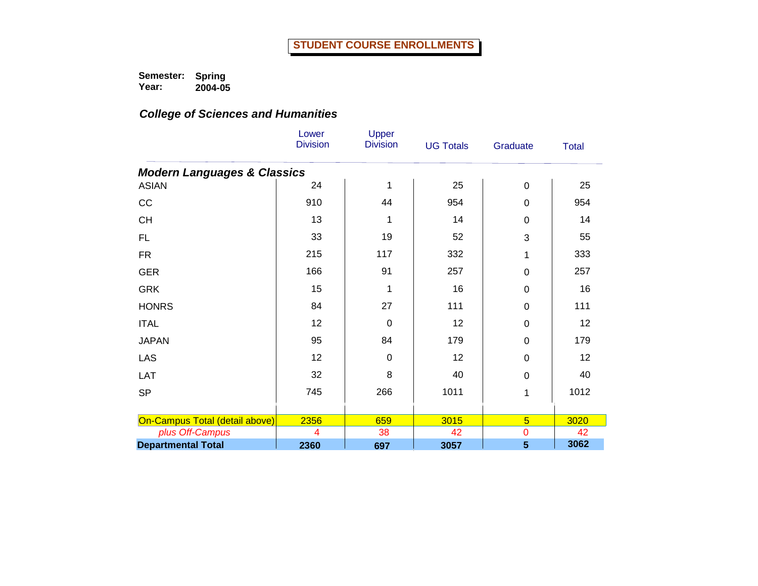|                                        | Lower<br><b>Division</b> | Upper<br><b>Division</b> | <b>UG Totals</b> | Graduate       | <b>Total</b> |
|----------------------------------------|--------------------------|--------------------------|------------------|----------------|--------------|
| <b>Modern Languages &amp; Classics</b> |                          |                          |                  |                |              |
| <b>ASIAN</b>                           | 24                       | 1                        | 25               | 0              | 25           |
| CC                                     | 910                      | 44                       | 954              | 0              | 954          |
| <b>CH</b>                              | 13                       | 1                        | 14               | 0              | 14           |
| FL                                     | 33                       | 19                       | 52               | 3              | 55           |
| <b>FR</b>                              | 215                      | 117                      | 332              | 1              | 333          |
| <b>GER</b>                             | 166                      | 91                       | 257              | 0              | 257          |
| <b>GRK</b>                             | 15                       | 1                        | 16               | 0              | 16           |
| <b>HONRS</b>                           | 84                       | 27                       | 111              | 0              | 111          |
| <b>ITAL</b>                            | 12                       | $\mathbf 0$              | 12               | 0              | 12           |
| <b>JAPAN</b>                           | 95                       | 84                       | 179              | 0              | 179          |
| LAS                                    | 12                       | $\mathbf 0$              | 12               | 0              | 12           |
| LAT                                    | 32                       | 8                        | 40               | 0              | 40           |
| <b>SP</b>                              | 745                      | 266                      | 1011             | 1              | 1012         |
|                                        |                          |                          |                  |                |              |
| On-Campus Total (detail above)         | 2356                     | 659                      | 3015             | $\overline{5}$ | 3020         |
| plus Off-Campus                        | $\overline{4}$           | 38                       | 42               | $\overline{0}$ | 42           |
| <b>Departmental Total</b>              | 2360                     | 697                      | 3057             | 5              | 3062         |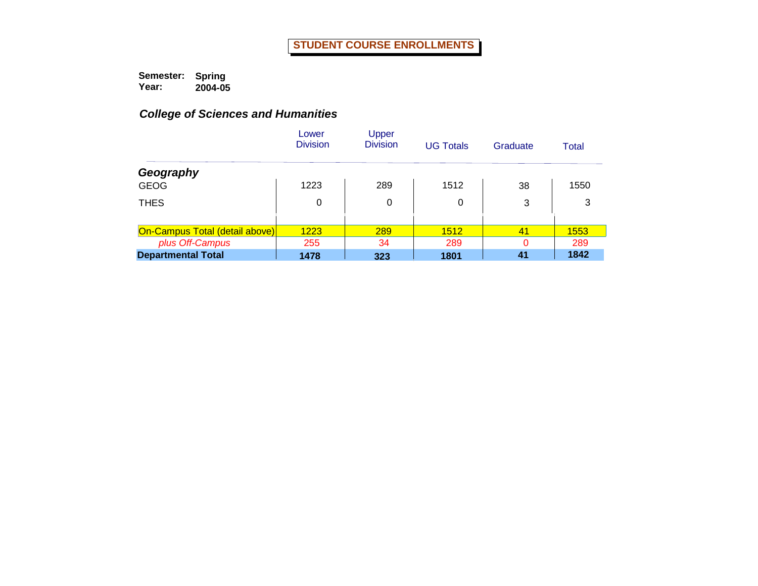|                                       | Lower<br><b>Division</b> | Upper<br><b>Division</b> | <b>UG Totals</b> | Graduate | Total |
|---------------------------------------|--------------------------|--------------------------|------------------|----------|-------|
| Geography                             |                          |                          |                  |          |       |
| <b>GEOG</b>                           | 1223                     | 289                      | 1512             | 38       | 1550  |
| <b>THES</b>                           | 0                        | 0                        | 0                | 3        | 3     |
|                                       |                          |                          |                  |          |       |
| <b>On-Campus Total (detail above)</b> | 1223                     | 289                      | 1512             | 41       | 1553  |
| plus Off-Campus                       | 255                      | 34                       | 289              | ი        | 289   |
| <b>Departmental Total</b>             | 1478                     | 323                      | 1801             | 41       | 1842  |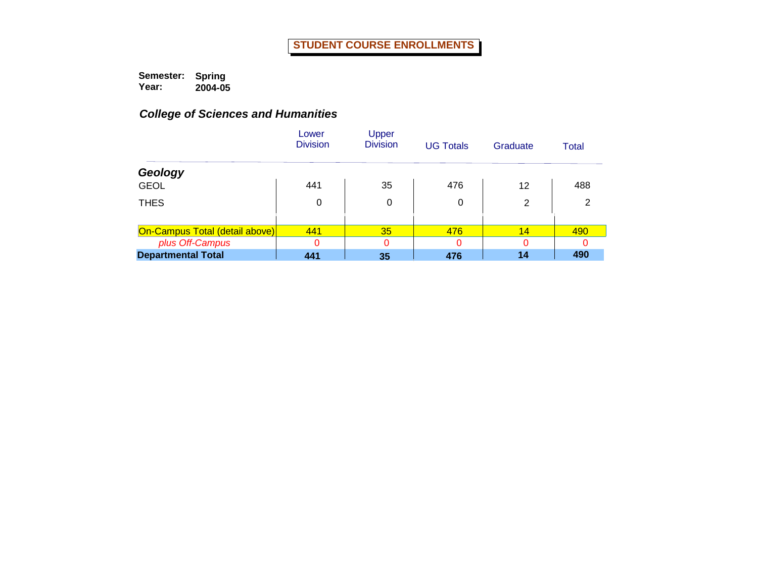|                                       | Lower<br><b>Division</b> | Upper<br><b>Division</b> | <b>UG Totals</b> | Graduate       | Total |
|---------------------------------------|--------------------------|--------------------------|------------------|----------------|-------|
| Geology                               |                          |                          |                  |                |       |
| <b>GEOL</b>                           | 441                      | 35                       | 476              | 12             | 488   |
| <b>THES</b>                           | 0                        | 0                        | 0                | $\overline{2}$ | 2     |
|                                       |                          |                          |                  |                |       |
| <b>On-Campus Total (detail above)</b> | 441                      | 35                       | 476              | 14             | 490   |
| plus Off-Campus                       | $\Omega$                 | $\Omega$                 |                  |                |       |
| <b>Departmental Total</b>             | 441                      | 35                       | 476              | 14             | 490   |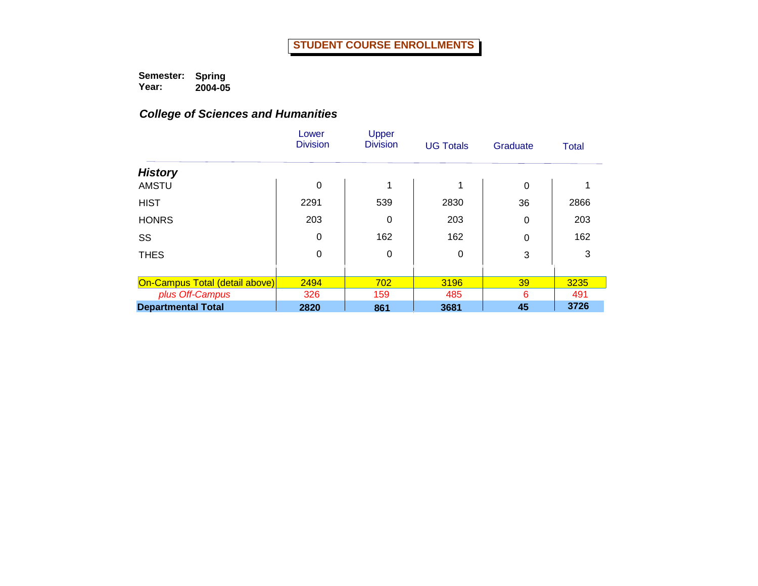|                                | Lower<br><b>Division</b> | Upper<br><b>Division</b> | <b>UG Totals</b> | Graduate | <b>Total</b> |
|--------------------------------|--------------------------|--------------------------|------------------|----------|--------------|
| <b>History</b>                 |                          |                          |                  |          |              |
| <b>AMSTU</b>                   | 0                        | 1                        | 1                | 0        |              |
| <b>HIST</b>                    | 2291                     | 539                      | 2830             | 36       | 2866         |
| <b>HONRS</b>                   | 203                      | 0                        | 203              | 0        | 203          |
| SS                             | 0                        | 162                      | 162              | 0        | 162          |
| <b>THES</b>                    | 0                        | 0                        | 0                | 3        | 3            |
|                                |                          |                          |                  |          |              |
| On-Campus Total (detail above) | 2494                     | 702                      | 3196             | 39       | 3235         |
| plus Off-Campus                | 326                      | 159                      | 485              | 6        | 491          |
| <b>Departmental Total</b>      | 2820                     | 861                      | 3681             | 45       | 3726         |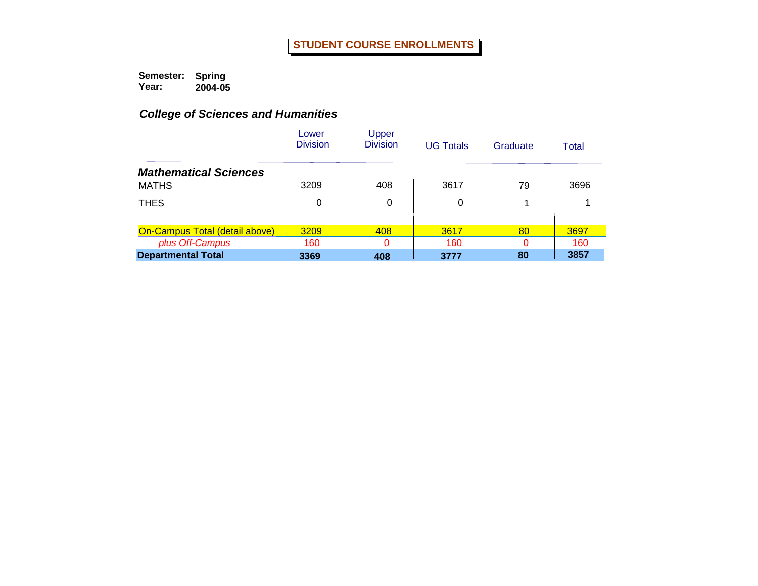|                                       | Lower<br><b>Division</b> | Upper<br><b>Division</b> | <b>UG Totals</b> | Graduate | Total |
|---------------------------------------|--------------------------|--------------------------|------------------|----------|-------|
| <b>Mathematical Sciences</b>          |                          |                          |                  |          |       |
| <b>MATHS</b>                          | 3209                     | 408                      | 3617             | 79       | 3696  |
| <b>THES</b>                           | 0                        | 0                        | 0                | 1        |       |
|                                       |                          |                          |                  |          |       |
| <b>On-Campus Total (detail above)</b> | 3209                     | 408                      | 3617             | 80       | 3697  |
| plus Off-Campus                       | 160                      | $\Omega$                 | 160              | 0        | 160   |
| <b>Departmental Total</b>             | 3369                     | 408                      | 3777             | 80       | 3857  |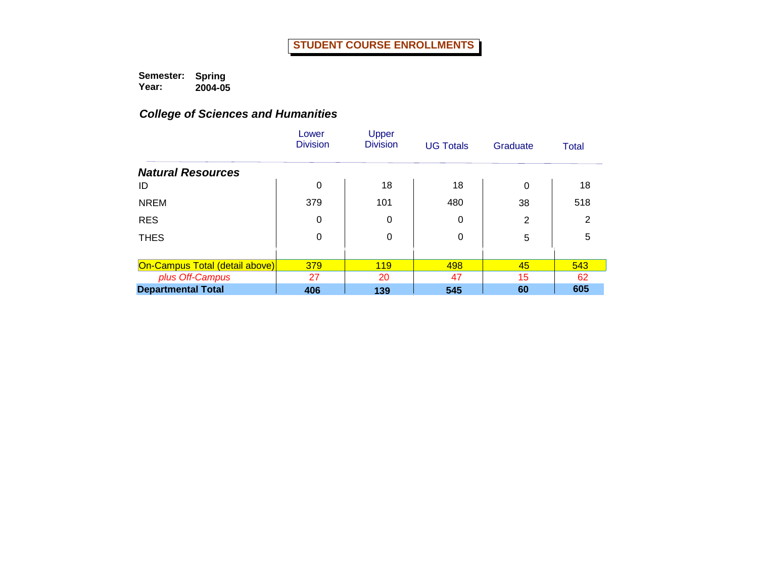|                                       | Lower<br><b>Division</b> | Upper<br><b>Division</b> | <b>UG Totals</b> | Graduate | Total |
|---------------------------------------|--------------------------|--------------------------|------------------|----------|-------|
| <b>Natural Resources</b>              |                          |                          |                  |          |       |
| ID                                    | 0                        | 18                       | 18               | $\Omega$ | 18    |
| <b>NREM</b>                           | 379                      | 101                      | 480              | 38       | 518   |
| <b>RES</b>                            | 0                        | 0                        | 0                | 2        | 2     |
| <b>THES</b>                           | 0                        | 0                        | 0                | 5        | 5     |
|                                       |                          |                          |                  |          |       |
| <b>On-Campus Total (detail above)</b> | 379                      | <b>119</b>               | 498              | 45       | 543   |
| plus Off-Campus                       | 27                       | 20                       | 47               | 15       | 62    |
| <b>Departmental Total</b>             | 406                      | 139                      | 545              | 60       | 605   |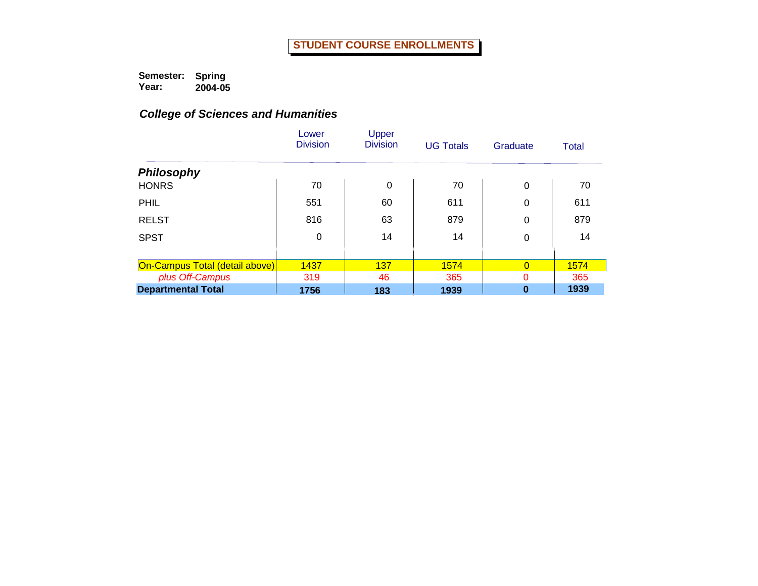|                                | Lower<br><b>Division</b> | Upper<br><b>Division</b> | <b>UG Totals</b> | Graduate       | Total |
|--------------------------------|--------------------------|--------------------------|------------------|----------------|-------|
| <b>Philosophy</b>              |                          |                          |                  |                |       |
| <b>HONRS</b>                   | 70                       | 0                        | 70               | $\Omega$       | 70    |
| <b>PHIL</b>                    | 551                      | 60                       | 611              | 0              | 611   |
| <b>RELST</b>                   | 816                      | 63                       | 879              | 0              | 879   |
| <b>SPST</b>                    | 0                        | 14                       | 14               | 0              | 14    |
|                                |                          |                          |                  |                |       |
| On-Campus Total (detail above) | 1437                     | 137                      | 1574             | $\overline{0}$ | 1574  |
| plus Off-Campus                | 319                      | 46                       | 365              | 0              | 365   |
| <b>Departmental Total</b>      | 1756                     | 183                      | 1939             | $\bf{0}$       | 1939  |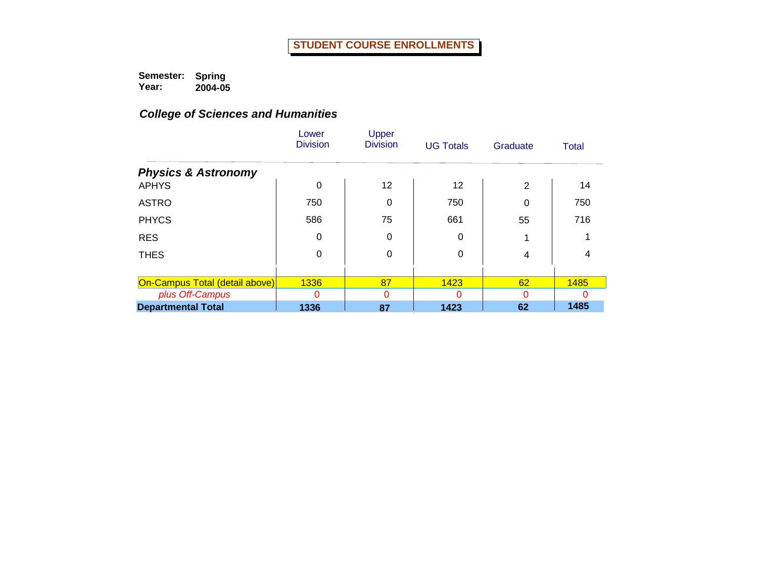|                                | Lower<br><b>Division</b> | Upper<br><b>Division</b> | <b>UG Totals</b> | Graduate | Total |
|--------------------------------|--------------------------|--------------------------|------------------|----------|-------|
| <b>Physics &amp; Astronomy</b> |                          |                          |                  |          |       |
| <b>APHYS</b>                   | $\Omega$                 | $12 \,$                  | 12               | 2        | 14    |
| <b>ASTRO</b>                   | 750                      | 0                        | 750              | 0        | 750   |
| <b>PHYCS</b>                   | 586                      | 75                       | 661              | 55       | 716   |
| <b>RES</b>                     | 0                        | 0                        | 0                |          |       |
| <b>THES</b>                    | $\Omega$                 | 0                        | 0                | 4        |       |
|                                |                          |                          |                  |          |       |
| On-Campus Total (detail above) | 1336                     | 87                       | 1423             | 62       | 1485  |
| plus Off-Campus                | Ω                        | 0                        |                  |          |       |
| <b>Departmental Total</b>      | 1336                     | 87                       | 1423             | 62       | 1485  |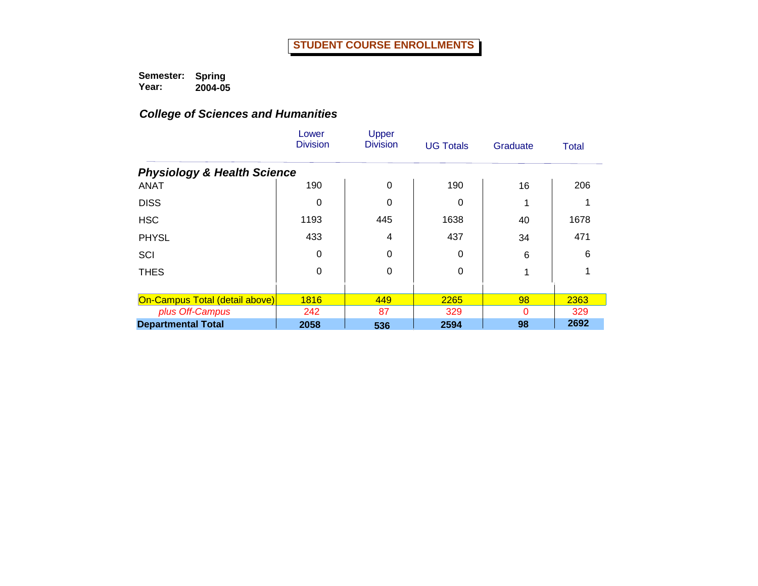|                                        | Lower<br><b>Division</b> | Upper<br><b>Division</b> | <b>UG Totals</b> | Graduate | <b>Total</b> |
|----------------------------------------|--------------------------|--------------------------|------------------|----------|--------------|
| <b>Physiology &amp; Health Science</b> |                          |                          |                  |          |              |
| <b>ANAT</b>                            | 190                      | $\Omega$                 | 190              | 16       | 206          |
| <b>DISS</b>                            | 0                        | 0                        | 0                |          |              |
| <b>HSC</b>                             | 1193                     | 445                      | 1638             | 40       | 1678         |
| <b>PHYSL</b>                           | 433                      | 4                        | 437              | 34       | 471          |
| SCI                                    | 0                        | 0                        | 0                | 6        | 6            |
| <b>THES</b>                            | 0                        | 0                        | 0                |          |              |
|                                        |                          |                          |                  |          |              |
| <b>On-Campus Total (detail above)</b>  | 1816                     | 449                      | 2265             | 98       | 2363         |
| plus Off-Campus                        | 242                      | 87                       | 329              | 0        | 329          |
| <b>Departmental Total</b>              | 2058                     | 536                      | 2594             | 98       | 2692         |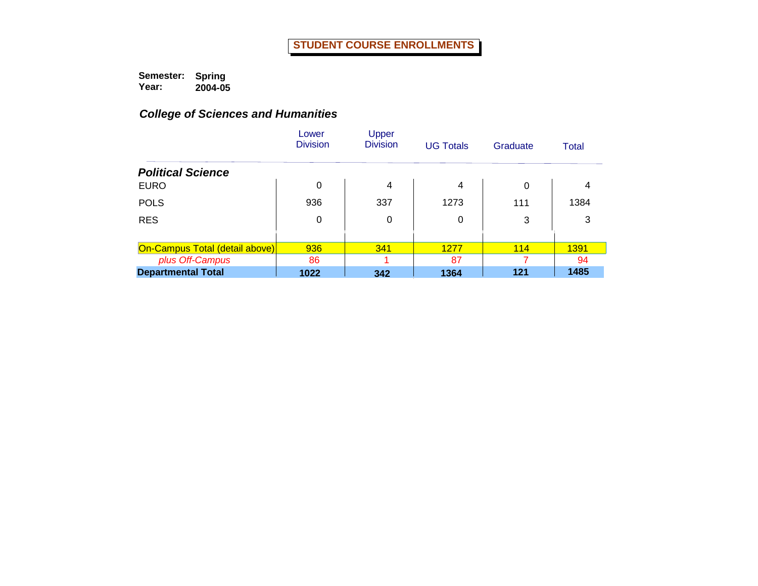|                                       | Lower<br><b>Division</b> | Upper<br><b>Division</b> | <b>UG Totals</b> | Graduate | Total |
|---------------------------------------|--------------------------|--------------------------|------------------|----------|-------|
| <b>Political Science</b>              |                          |                          |                  |          |       |
| <b>EURO</b>                           | $\Omega$                 | $\overline{4}$           | 4                | 0        | 4     |
| <b>POLS</b>                           | 936                      | 337                      | 1273             | 111      | 1384  |
| <b>RES</b>                            | $\mathbf 0$              | 0                        | 0                | 3        | 3     |
|                                       |                          |                          |                  |          |       |
| <b>On-Campus Total (detail above)</b> | 936                      | 341                      | 1277             | 114      | 1391  |
| plus Off-Campus                       | 86                       |                          | 87               | 7        | 94    |
| <b>Departmental Total</b>             | 1022                     | 342                      | 1364             | 121      | 1485  |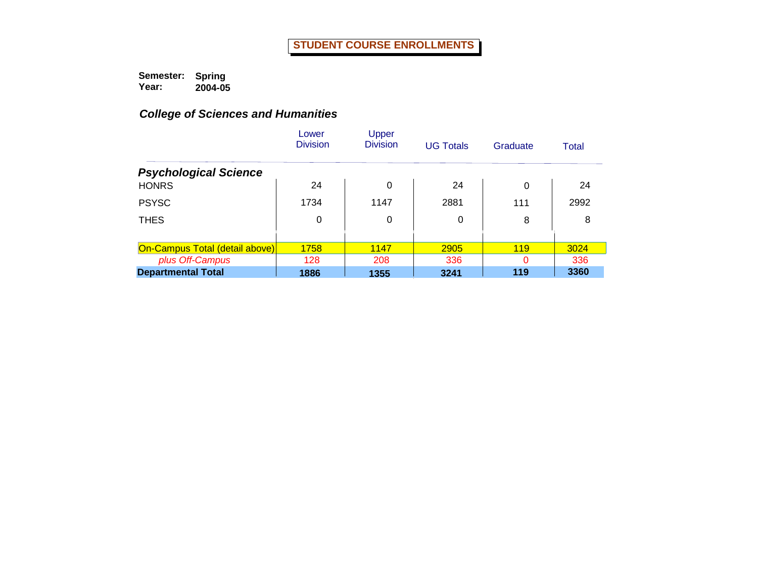|                                       | Lower<br><b>Division</b> | Upper<br><b>Division</b> | <b>UG Totals</b> | Graduate | Total |
|---------------------------------------|--------------------------|--------------------------|------------------|----------|-------|
| <b>Psychological Science</b>          |                          |                          |                  |          |       |
| <b>HONRS</b>                          | 24                       | 0                        | 24               | 0        | 24    |
| <b>PSYSC</b>                          | 1734                     | 1147                     | 2881             | 111      | 2992  |
| <b>THES</b>                           | 0                        | 0                        | 0                | 8        | 8     |
|                                       |                          |                          |                  |          |       |
| <b>On-Campus Total (detail above)</b> | 1758                     | 1147                     | 2905             | 119      | 3024  |
| plus Off-Campus                       | 128                      | 208                      | 336              | 0        | 336   |
| <b>Departmental Total</b>             | 1886                     | 1355                     | 3241             | 119      | 3360  |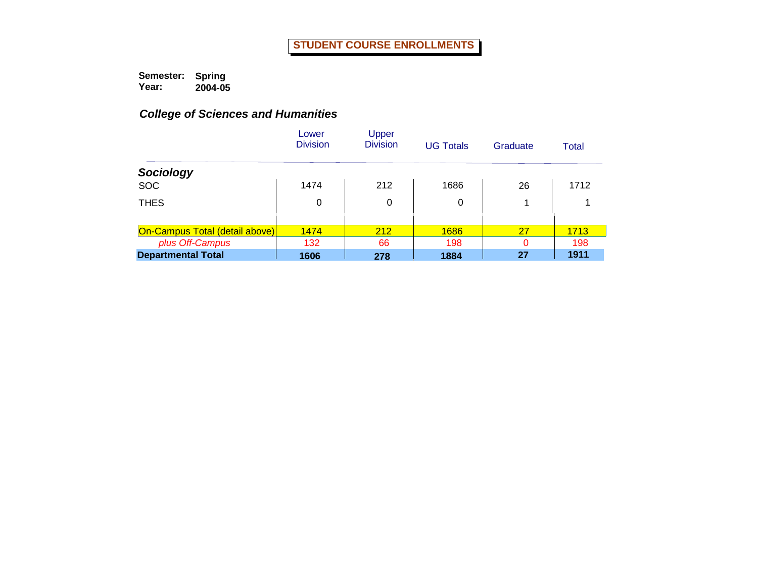|                                | Lower<br><b>Division</b> | Upper<br><b>Division</b> | <b>UG Totals</b> | Graduate | Total |
|--------------------------------|--------------------------|--------------------------|------------------|----------|-------|
| Sociology                      |                          |                          |                  |          |       |
| <b>SOC</b>                     | 1474                     | 212                      | 1686             | 26       | 1712  |
| <b>THES</b>                    | 0                        | 0                        | 0                |          |       |
|                                |                          |                          |                  |          |       |
| On-Campus Total (detail above) | 1474                     | 212                      | 1686             | 27       | 1713  |
| plus Off-Campus                | 132                      | 66                       | 198              | $\Omega$ | 198   |
| <b>Departmental Total</b>      | 1606                     | 278                      | 1884             | 27       | 1911  |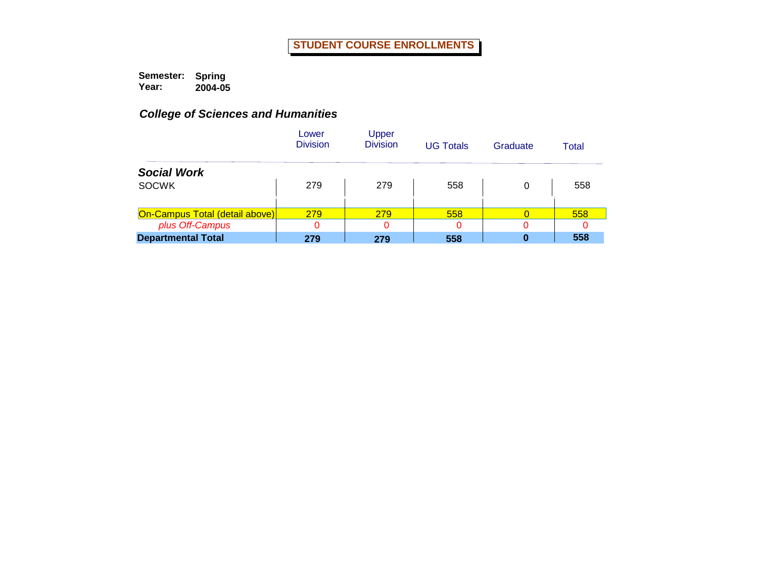|                                       | Lower<br><b>Division</b> | Upper<br><b>Division</b> | <b>UG Totals</b> | Graduate | Total |
|---------------------------------------|--------------------------|--------------------------|------------------|----------|-------|
| <b>Social Work</b>                    |                          |                          |                  |          |       |
| <b>SOCWK</b>                          | 279                      | 279                      | 558              | 0        | 558   |
| <b>On-Campus Total (detail above)</b> | 279                      | 279                      | 558              |          | 558   |
| plus Off-Campus                       |                          |                          |                  | 0        |       |
| <b>Departmental Total</b>             | 279                      | 279                      | 558              | 0        | 558   |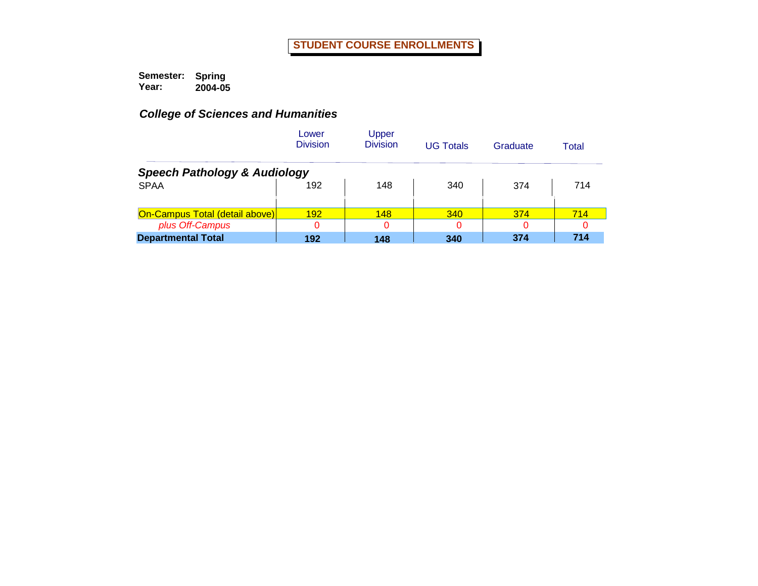|                                         | Lower<br><b>Division</b> | Upper<br><b>Division</b> | <b>UG Totals</b> | Graduate | Total |
|-----------------------------------------|--------------------------|--------------------------|------------------|----------|-------|
| <b>Speech Pathology &amp; Audiology</b> |                          |                          |                  |          |       |
| <b>SPAA</b>                             | 192                      | 148                      | 340              | 374      | 714   |
| <b>On-Campus Total (detail above)</b>   | 192                      | 148                      | <b>340</b>       | 374      | 714   |
| plus Off-Campus                         |                          | 0                        | ი                |          |       |
| <b>Departmental Total</b>               | 192                      | 148                      | 340              | 374      | 714   |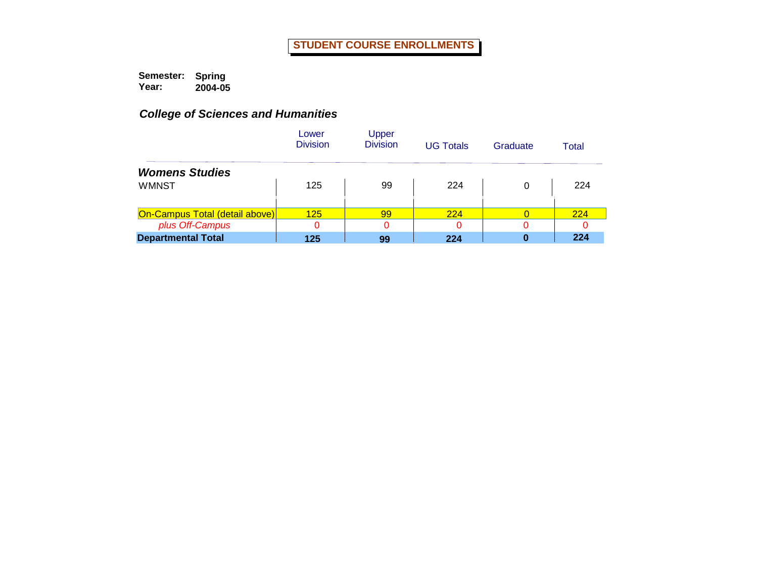|                                | Lower<br><b>Division</b> | Upper<br><b>Division</b> | <b>UG Totals</b> | Graduate | Total |
|--------------------------------|--------------------------|--------------------------|------------------|----------|-------|
| <b>Womens Studies</b>          |                          |                          |                  |          |       |
| <b>WMNST</b>                   | 125                      | 99                       | 224              | 0        | 224   |
|                                |                          |                          |                  |          |       |
| On-Campus Total (detail above) | 125                      | 99                       | <b>224</b>       | 0        | 224   |
| plus Off-Campus                | 0                        |                          |                  |          |       |
| <b>Departmental Total</b>      | 125                      | 99                       | 224              | 0        | 224   |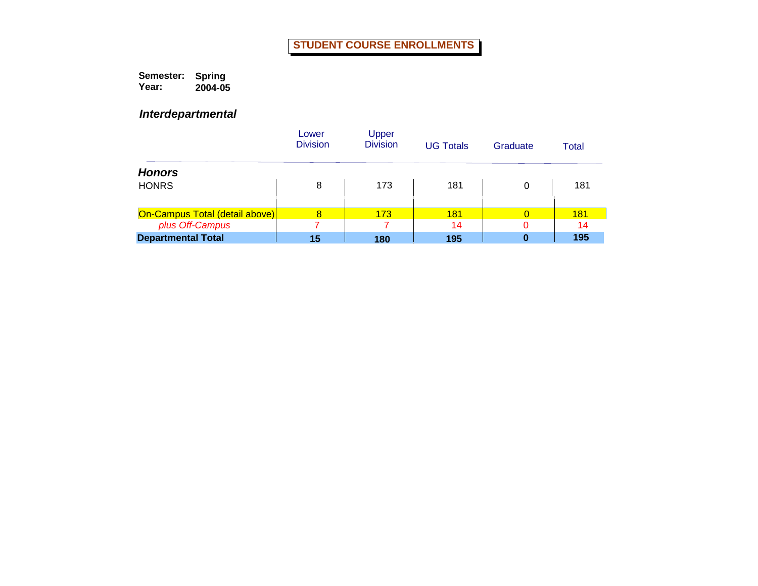**Semester: Year: Spring 2004-05**

*Interdepartmental*

|                                | Lower<br><b>Division</b> | Upper<br><b>Division</b> | <b>UG Totals</b> | Graduate | Total      |
|--------------------------------|--------------------------|--------------------------|------------------|----------|------------|
| <b>Honors</b>                  |                          |                          |                  |          |            |
| <b>HONRS</b>                   | 8                        | 173                      | 181              | 0        | 181        |
|                                |                          |                          |                  |          |            |
| On-Campus Total (detail above) | 8                        | 173                      | <b>181</b>       |          | <b>181</b> |
| plus Off-Campus                |                          |                          | 14               |          | 14         |
| <b>Departmental Total</b>      | 15                       | 180                      | 195              | 0        | 195        |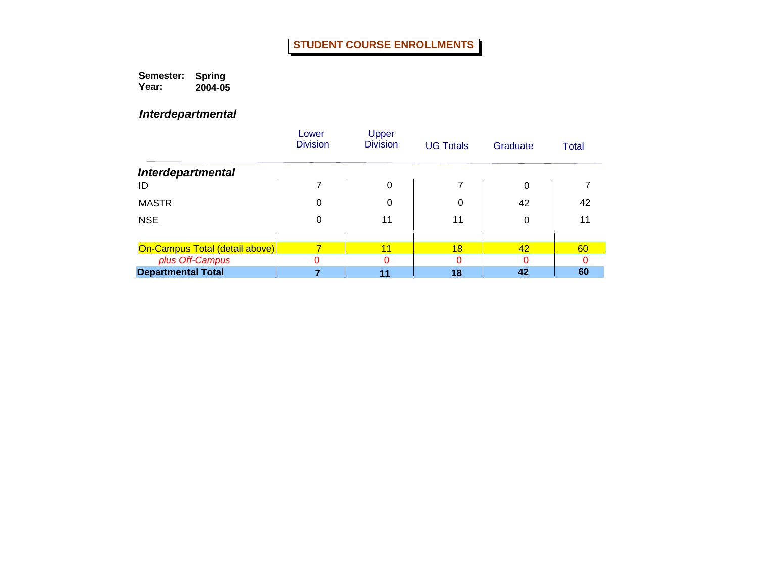**Semester: Year: Spring 2004-05**

*Interdepartmental*

|                                       | Lower<br><b>Division</b> | Upper<br><b>Division</b> | <b>UG Totals</b> | Graduate | Total |
|---------------------------------------|--------------------------|--------------------------|------------------|----------|-------|
| <b>Interdepartmental</b>              |                          |                          |                  |          |       |
| ID                                    |                          | 0                        |                  | 0        |       |
| <b>MASTR</b>                          | 0                        | 0                        | 0                | 42       | 42    |
| <b>NSE</b>                            | 0                        | 11                       | 11               | 0        | 11    |
|                                       |                          |                          |                  |          |       |
| <b>On-Campus Total (detail above)</b> |                          | 11                       | 18               | 42       | 60    |
| plus Off-Campus                       |                          |                          |                  | 0        |       |
| <b>Departmental Total</b>             |                          |                          | 18               | 42       | 60    |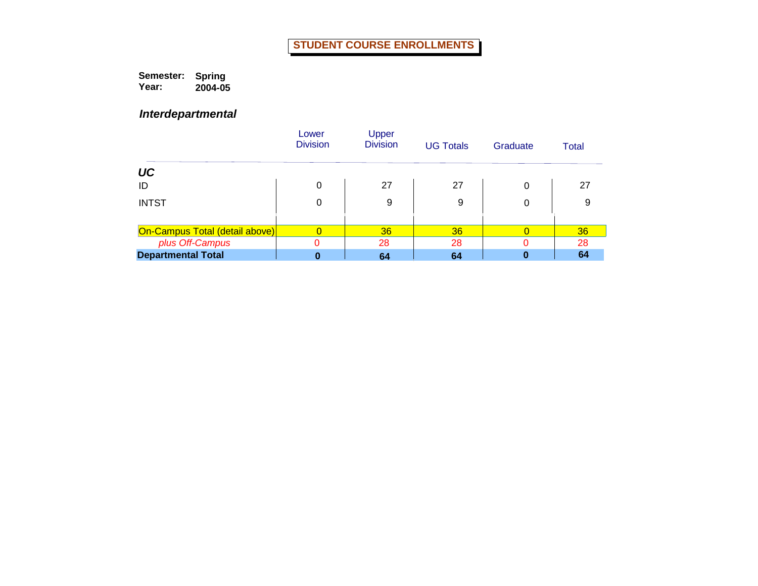**Semester: Year: Spring 2004-05**

*Interdepartmental*

|                                | Lower<br><b>Division</b> | Upper<br><b>Division</b> | <b>UG Totals</b> | Graduate | <b>Total</b> |
|--------------------------------|--------------------------|--------------------------|------------------|----------|--------------|
| UC                             |                          |                          |                  |          |              |
| ID                             | 0                        | 27                       | 27               | 0        | 27           |
| <b>INTST</b>                   | 0                        | 9                        | 9                | 0        | 9            |
| On-Campus Total (detail above) |                          | 36                       | 36               |          | 36           |
| plus Off-Campus                | 0                        | 28                       | 28               |          | 28           |
| <b>Departmental Total</b>      | 0                        | 64                       | 64               |          | 64           |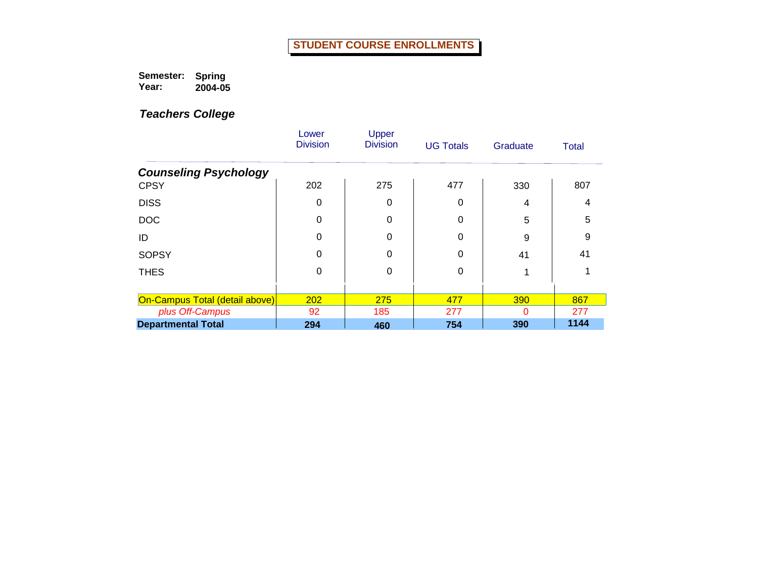**Semester: Year: Spring 2004-05**

|                                                   | Lower<br><b>Division</b> | Upper<br><b>Division</b> | <b>UG Totals</b> | Graduate | <b>Total</b> |
|---------------------------------------------------|--------------------------|--------------------------|------------------|----------|--------------|
| <b>Counseling Psychology</b>                      |                          |                          |                  |          |              |
| <b>CPSY</b>                                       | 202                      | 275                      | 477              | 330      | 807          |
| <b>DISS</b>                                       | 0                        | 0                        | 0                | 4        | 4            |
| <b>DOC</b>                                        | 0                        | 0                        | 0                | 5        | 5            |
| ID                                                | 0                        | 0                        | $\Omega$         | 9        | 9            |
| <b>SOPSY</b>                                      | 0                        | 0                        | $\Omega$         | 41       | 41           |
| <b>THES</b>                                       | 0                        | 0                        | 0                |          |              |
|                                                   |                          |                          |                  |          |              |
| On-Campus Total (detail above)<br>plus Off-Campus | 202<br>92                | 275<br>185               | 477<br>277       | 390<br>0 | 867<br>277   |
| <b>Departmental Total</b>                         | 294                      | 460                      | 754              | 390      | 1144         |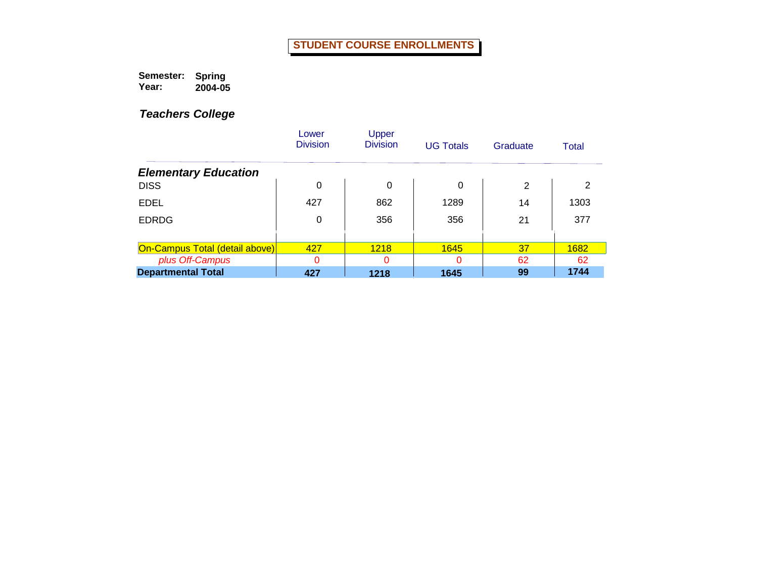**Semester: Year: Spring 2004-05**

|                                       | Lower<br><b>Division</b> | Upper<br><b>Division</b> | <b>UG Totals</b> | Graduate | Total |
|---------------------------------------|--------------------------|--------------------------|------------------|----------|-------|
| <b>Elementary Education</b>           |                          |                          |                  |          |       |
| <b>DISS</b>                           | 0                        | $\Omega$                 | 0                | 2        | 2     |
| <b>EDEL</b>                           | 427                      | 862                      | 1289             | 14       | 1303  |
| <b>EDRDG</b>                          | 0                        | 356                      | 356              | 21       | 377   |
|                                       |                          |                          |                  |          |       |
| <b>On-Campus Total (detail above)</b> | 427                      | 1218                     | 1645             | 37       | 1682  |
| plus Off-Campus                       | 0                        | 0                        | Ω                | 62       | 62    |
| <b>Departmental Total</b>             | 427                      | 1218                     | 1645             | 99       | 1744  |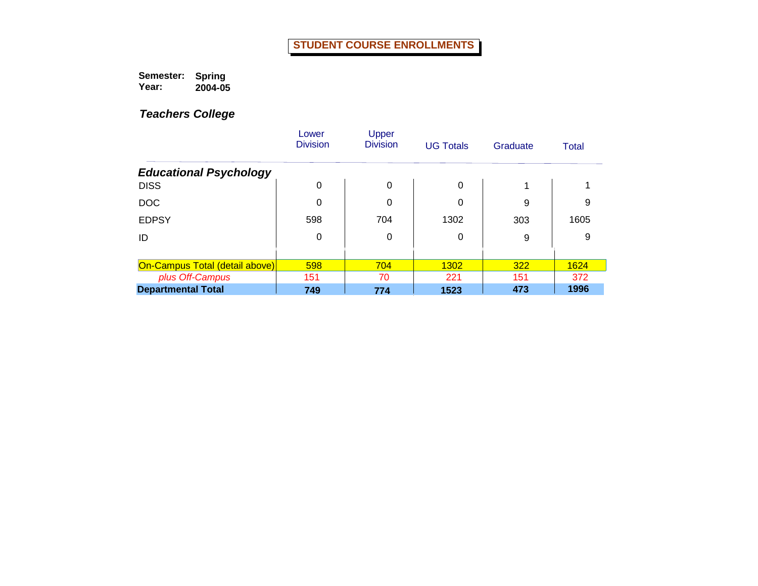**Semester: Year: Spring 2004-05**

|                                | Lower<br><b>Division</b> | Upper<br><b>Division</b> | <b>UG Totals</b> | Graduate | Total |
|--------------------------------|--------------------------|--------------------------|------------------|----------|-------|
| <b>Educational Psychology</b>  |                          |                          |                  |          |       |
| <b>DISS</b>                    | 0                        | 0                        | $\Omega$         |          |       |
| <b>DOC</b>                     | 0                        | 0                        | 0                | 9        | 9     |
| <b>EDPSY</b>                   | 598                      | 704                      | 1302             | 303      | 1605  |
| ID                             | 0                        | 0                        | 0                | 9        | 9     |
|                                |                          |                          |                  |          |       |
| On-Campus Total (detail above) | 598                      | 704                      | 1302             | 322      | 1624  |
| plus Off-Campus                | 151                      | 70                       | 221              | 151      | 372   |
| <b>Departmental Total</b>      | 749                      | 774                      | 1523             | 473      | 1996  |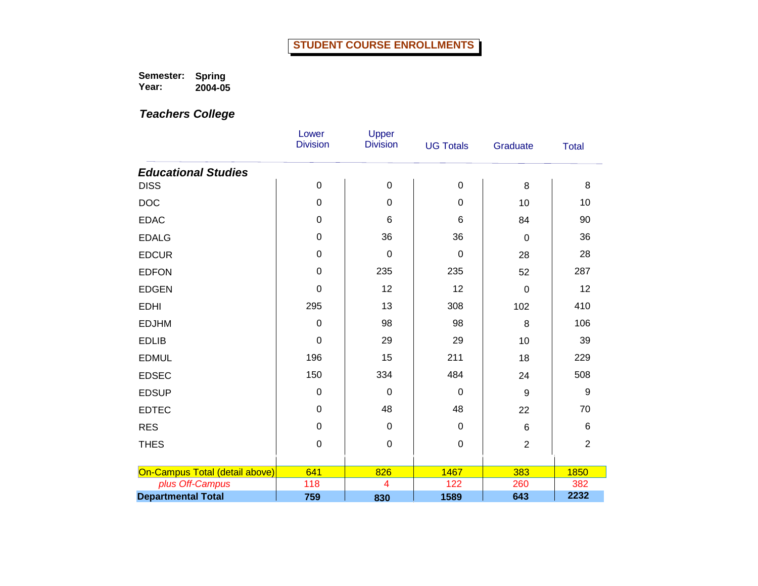**Semester: Year: Spring 2004-05**

|                                | Lower<br><b>Division</b> | Upper<br><b>Division</b> | <b>UG Totals</b> | Graduate       | <b>Total</b>   |
|--------------------------------|--------------------------|--------------------------|------------------|----------------|----------------|
| <b>Educational Studies</b>     |                          |                          |                  |                |                |
| <b>DISS</b>                    | $\pmb{0}$                | $\boldsymbol{0}$         | $\boldsymbol{0}$ | 8              | 8              |
| <b>DOC</b>                     | 0                        | $\pmb{0}$                | $\mathbf 0$      | 10             | 10             |
| <b>EDAC</b>                    | 0                        | 6                        | 6                | 84             | 90             |
| <b>EDALG</b>                   | 0                        | 36                       | 36               | $\mathbf 0$    | 36             |
| <b>EDCUR</b>                   | 0                        | $\mathbf 0$              | $\mathbf 0$      | 28             | 28             |
| <b>EDFON</b>                   | 0                        | 235                      | 235              | 52             | 287            |
| <b>EDGEN</b>                   | 0                        | 12                       | 12               | 0              | 12             |
| <b>EDHI</b>                    | 295                      | 13                       | 308              | 102            | 410            |
| <b>EDJHM</b>                   | $\mathbf 0$              | 98                       | 98               | 8              | 106            |
| <b>EDLIB</b>                   | 0                        | 29                       | 29               | 10             | 39             |
| <b>EDMUL</b>                   | 196                      | 15                       | 211              | 18             | 229            |
| <b>EDSEC</b>                   | 150                      | 334                      | 484              | 24             | 508            |
| <b>EDSUP</b>                   | 0                        | $\mathbf 0$              | $\mathbf 0$      | 9              | 9              |
| <b>EDTEC</b>                   | $\boldsymbol{0}$         | 48                       | 48               | 22             | 70             |
| <b>RES</b>                     | 0                        | $\boldsymbol{0}$         | 0                | $\,6\,$        | 6              |
| <b>THES</b>                    | 0                        | $\boldsymbol{0}$         | $\mathbf 0$      | $\overline{2}$ | $\overline{2}$ |
|                                |                          |                          |                  |                |                |
| On-Campus Total (detail above) | 641                      | 826                      | 1467             | 383            | 1850           |
| plus Off-Campus                | 118                      | $\overline{4}$           | 122              | 260            | 382            |
| <b>Departmental Total</b>      | 759                      | 830                      | 1589             | 643            | 2232           |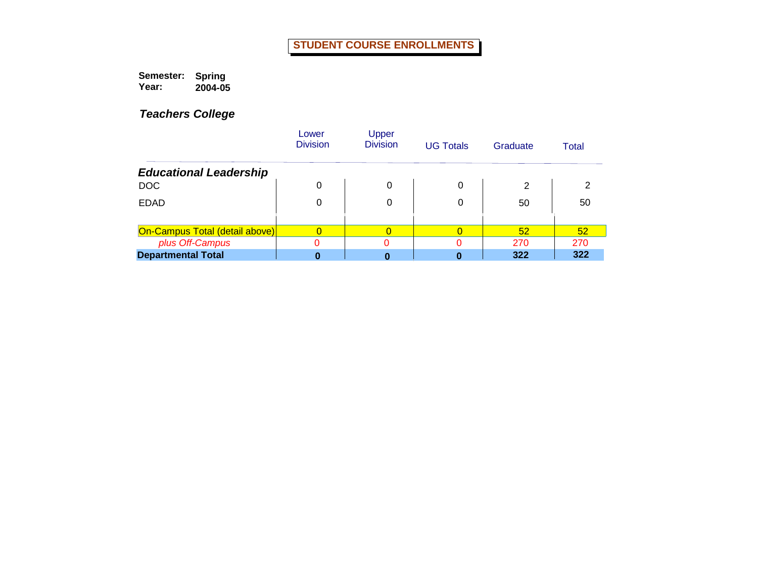**Semester: Year: Spring 2004-05**

|                                | Lower<br><b>Division</b> | Upper<br><b>Division</b> | <b>UG Totals</b> | Graduate | Total |
|--------------------------------|--------------------------|--------------------------|------------------|----------|-------|
| <b>Educational Leadership</b>  |                          |                          |                  |          |       |
| <b>DOC</b>                     | 0                        | 0                        | 0                | 2        | 2     |
| <b>EDAD</b>                    | 0                        | 0                        | 0                | 50       | 50    |
| On-Campus Total (detail above) |                          |                          |                  | 52       | 52    |
| plus Off-Campus                |                          |                          |                  | 270      | 270   |
| <b>Departmental Total</b>      |                          |                          |                  | 322      | 322   |